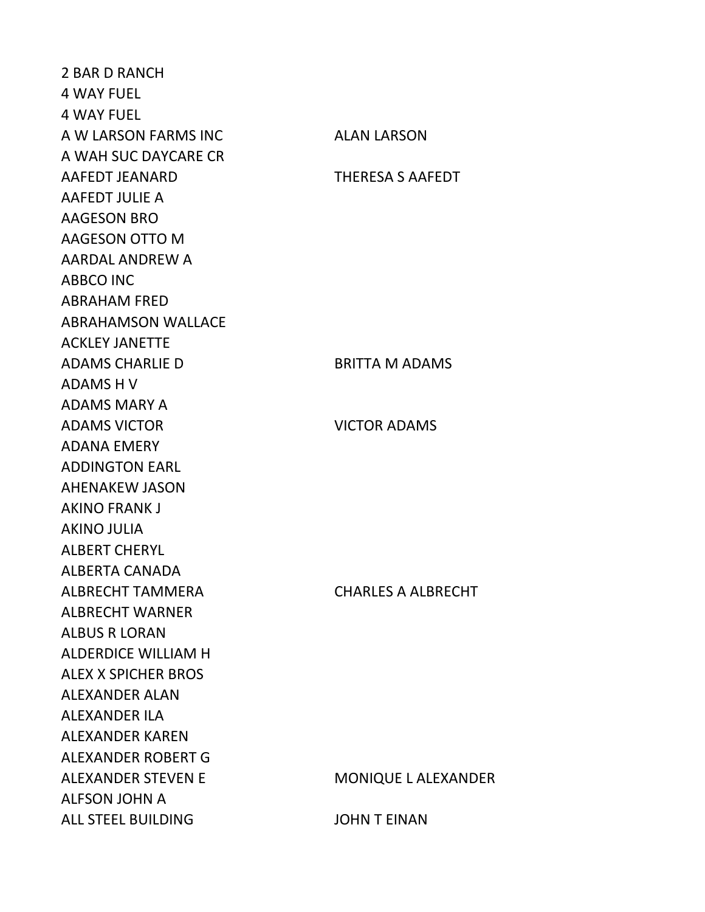2 BAR D RANCH 4 WAY FUEL 4 WAY FUEL A W LARSON FARMS INC ALAN LARSON A WAH SUC DAYCARE CR AAFEDT JEANARD THERESA S AAFEDT AAFEDT JULIE A AAGESON BRO AAGESON OTTO M AARDAL ANDREW A ABBCO INC ABRAHAM FRED ABRAHAMSON WALLACE ACKLEY JANETTE ADAMS CHARLIE D BRITTA M ADAMS ADAMS H V ADAMS MARY A ADAMS VICTOR **NATION** VICTOR ADAMS ADANA EMERY ADDINGTON EARL AHENAKEW JASON AKINO FRANK J AKINO JULIA ALBERT CHERYL ALBERTA CANADA ALBRECHT TAMMERA CHARLES A ALBRECHT ALBRECHT WARNER ALBUS R LORAN ALDERDICE WILLIAM H ALEX X SPICHER BROS ALEXANDER ALAN ALEXANDER ILA ALEXANDER KAREN ALEXANDER ROBERT G ALEXANDER STEVEN E MONIQUE LALEXANDER ALFSON JOHN A ALL STEEL BUILDING JOHN T EINAN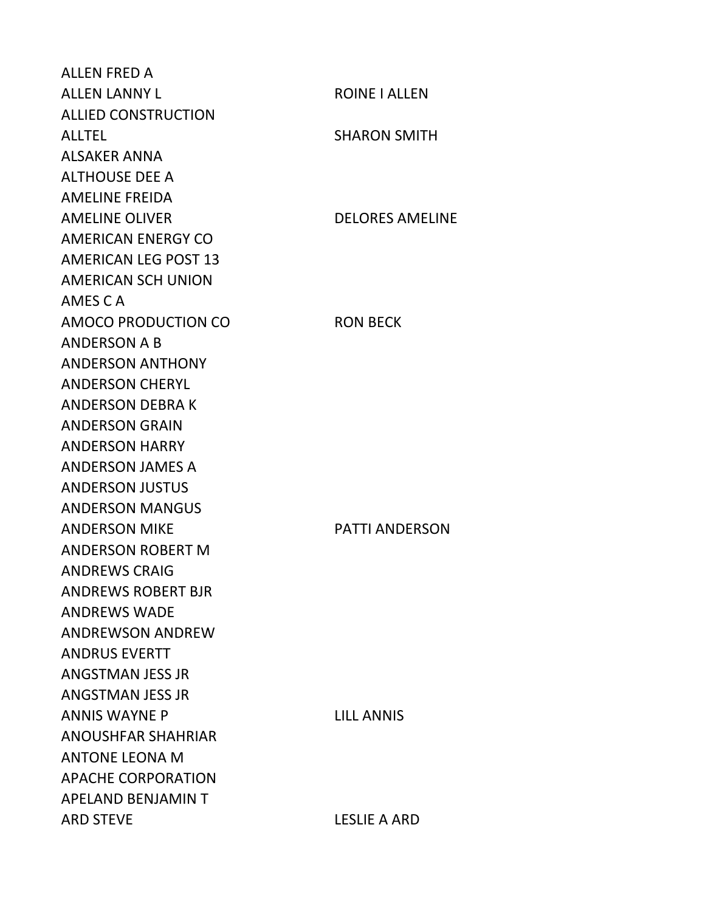ALLEN FRED A ALLEN LANNY LUIS CONNECTED AND ROINE I ALLEN ALLIED CONSTRUCTION ALLTEL SHARON SMITH ALSAKER ANNA ALTHOUSE DEE A AMELINE FREIDA AMELINE OLIVER DELORES AMELINE AMERICAN ENERGY CO AMERICAN LEG POST 13 AMERICAN SCH UNION AMES C A AMOCO PRODUCTION CO RON BECK ANDERSON A B ANDERSON ANTHONY ANDERSON CHERYL ANDERSON DEBRA K ANDERSON GRAIN ANDERSON HARRY ANDERSON JAMES A ANDERSON JUSTUS ANDERSON MANGUS ANDERSON MIKE PATTI ANDERSON ANDERSON ROBERT M ANDREWS CRAIG ANDREWS ROBERT BJR ANDREWS WADE ANDREWSON ANDREW ANDRUS EVERTT ANGSTMAN JESS JR ANGSTMAN JESS JR ANNIS WAYNE P LILL ANNIS ANOUSHFAR SHAHRIAR ANTONE LEONA M APACHE CORPORATION APELAND BENJAMIN T ARD STEVE LESLIE A ARD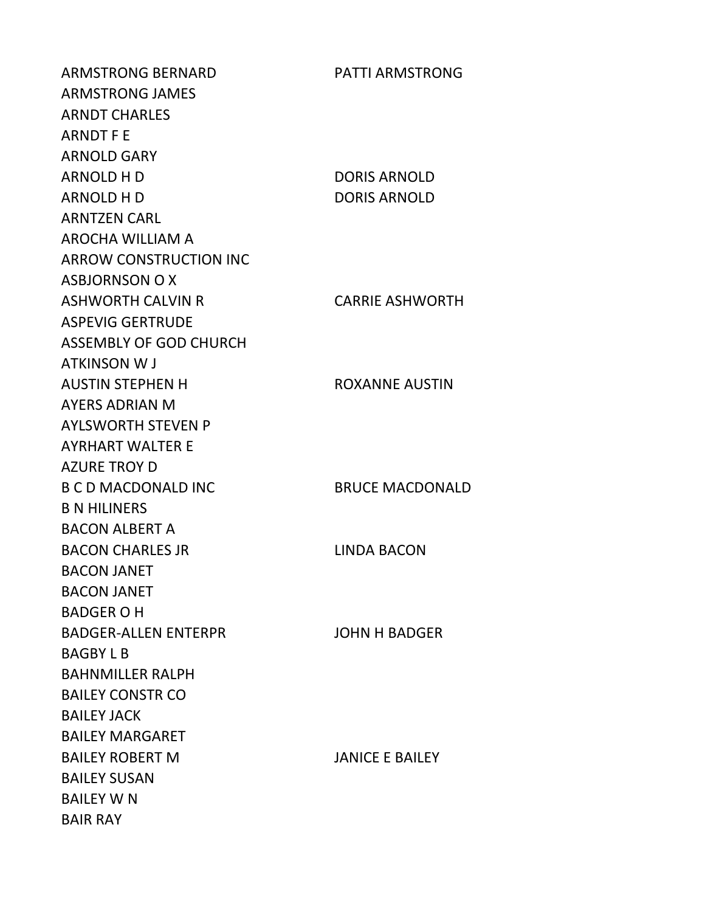ARMSTRONG BERNARD PATTI ARMSTRONG ARMSTRONG JAMES ARNDT CHARLES ARNDT F E ARNOLD GARY ARNOLD H D DORIS ARNOLD ARNOLD H D DORIS ARNOLD ARNTZEN CARL AROCHA WILLIAM A ARROW CONSTRUCTION INC ASBJORNSON O X ASHWORTH CALVIN R CARRIE ASHWORTH ASPEVIG GERTRUDE ASSEMBLY OF GOD CHURCH ATKINSON W J AUSTIN STEPHEN H ROXANNE AUSTIN AYERS ADRIAN M AYLSWORTH STEVEN P AYRHART WALTER E AZURE TROY D B C D MACDONALD INC BRUCE MACDONALD B N HILINERS BACON ALBERT A BACON CHARLES JR LINDA BACON BACON JANET BACON JANET BADGER O H BADGER-ALLEN ENTERPR JOHN H BADGER BAGBY L B BAHNMILLER RALPH BAILEY CONSTR CO BAILEY JACK BAILEY MARGARET BAILEY ROBERT M JANICE E BAILEY BAILEY SUSAN BAILEY W N BAIR RAY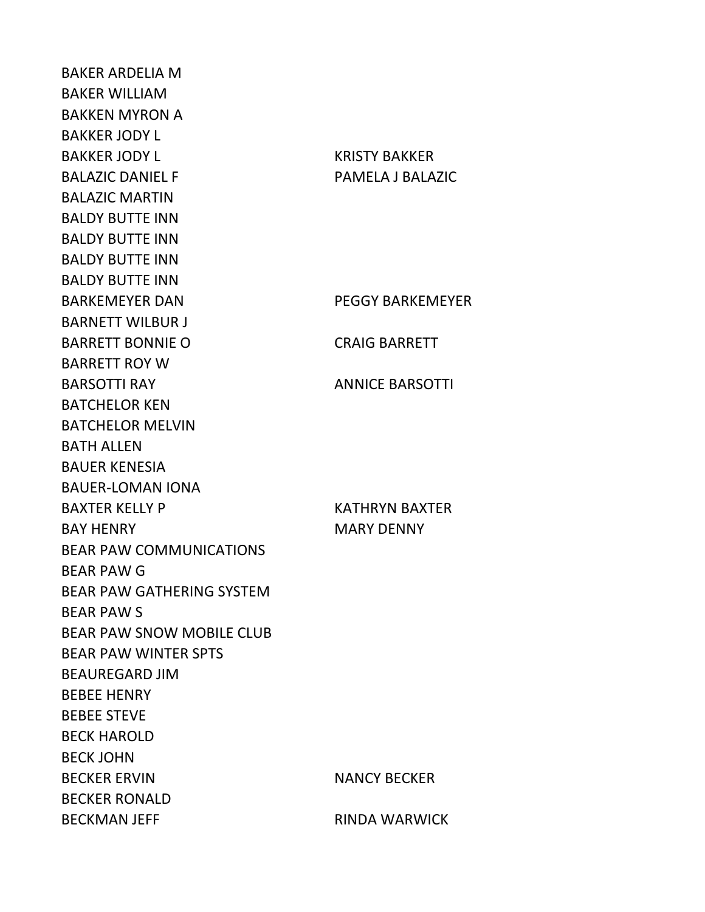BAKER ARDELIA M BAKER WILLIAM BAKKEN MYRON A BAKKER JODY L BAKKER JODY LASSER SERVICE RESERVED BAKKER BALAZIC DANIEL F PAMELA J BALAZIC BALAZIC MARTIN BALDY BUTTE INN BALDY BUTTE INN BALDY BUTTE INN BALDY BUTTE INN BARKEMEYER DAN PEGGY BARKEMEYER BARNETT WILBUR J BARRETT BONNIE O CRAIG BARRETT BARRETT ROY W BARSOTTI RAY ANNICE BARSOTTI BATCHELOR KEN BATCHELOR MELVIN BATH ALLEN BAUER KENESIA BAUER-LOMAN IONA BAXTER KELLY P KATHRYN BAXTER BAY HENRY MARY DENNY BEAR PAW COMMUNICATIONS BEAR PAW G BEAR PAW GATHERING SYSTEM BEAR PAW S BEAR PAW SNOW MOBILE CLUB BEAR PAW WINTER SPTS BEAUREGARD JIM BEBEE HENRY BEBEE STEVE BECK HAROLD BECK JOHN BECKER ERVIN NANCY BECKER BECKER RONALD BECKMAN JEFF RINDA WARWICK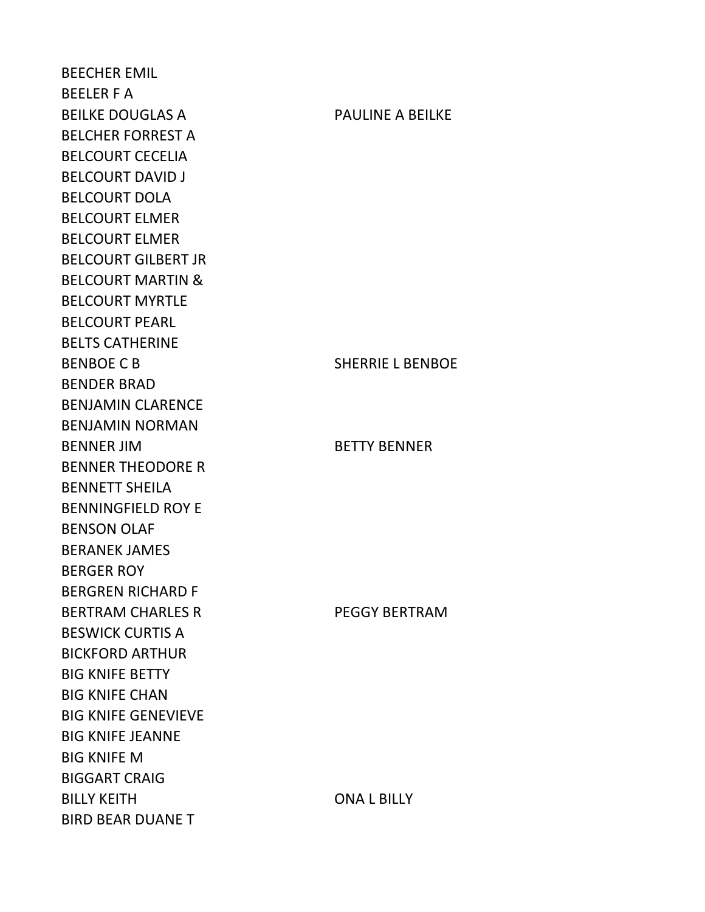BEECHER EMIL BEELER F A BEILKE DOUGLAS A PAULINE A BEILKE BELCHER FORREST A BELCOURT CECELIA BELCOURT DAVID J BELCOURT DOLA BELCOURT ELMER BELCOURT ELMER BELCOURT GILBERT JR BELCOURT MARTIN & BELCOURT MYRTLE BELCOURT PEARL BELTS CATHERINE BENBOE C B SHERRIE L BENBOE BENDER BRAD BENJAMIN CLARENCE BENJAMIN NORMAN BENNER JIM BETTY BENNER BENNER THEODORE R BENNETT SHEILA BENNINGFIELD ROY E BENSON OLAF BERANEK JAMES BERGER ROY BERGREN RICHARD F BERTRAM CHARLES R<br>PEGGY BERTRAM BESWICK CURTIS A BICKFORD ARTHUR BIG KNIFE BETTY BIG KNIFE CHAN BIG KNIFE GENEVIEVE BIG KNIFE JEANNE BIG KNIFE M BIGGART CRAIG BILLY KEITH ONA L BILLY BIRD BEAR DUANE T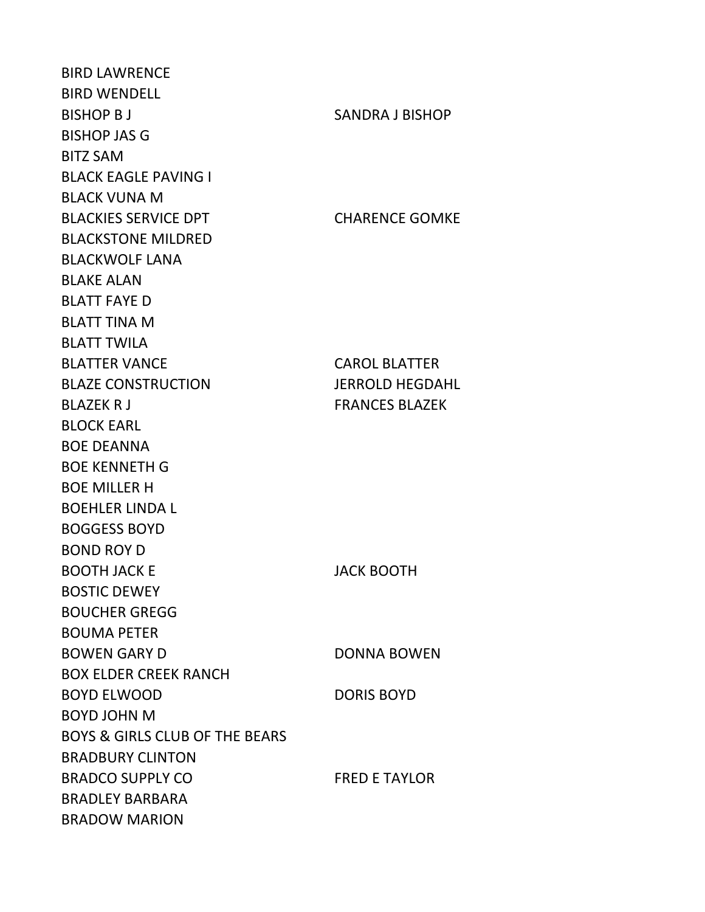BIRD LAWRENCE BIRD WENDELL BISHOP B J SANDRA J BISHOP BISHOP JAS G BITZ SAM BLACK EAGLE PAVING I BLACK VUNA M BLACKIES SERVICE DPT CHARENCE GOMKE BLACKSTONE MILDRED BLACKWOLF LANA BLAKE ALAN BLATT FAYE D BLATT TINA M BLATT TWILA BLATTER VANCE CAROL BLATTER BLAZE CONSTRUCTION JERROLD HEGDAHL BLAZEK R J FRANCES BLAZEK BLOCK EARL BOE DEANNA BOE KENNETH G BOE MILLER H BOEHLER LINDA L BOGGESS BOYD BOND ROY D BOOTH JACK E JACK BOOTH BOSTIC DEWEY BOUCHER GREGG BOUMA PETER BOWEN GARY D DONNA BOWEN BOX ELDER CREEK RANCH BOYD ELWOOD DORIS BOYD BOYD JOHN M BOYS & GIRLS CLUB OF THE BEARS BRADBURY CLINTON BRADCO SUPPLY CO FRED E TAYLOR BRADLEY BARBARA BRADOW MARION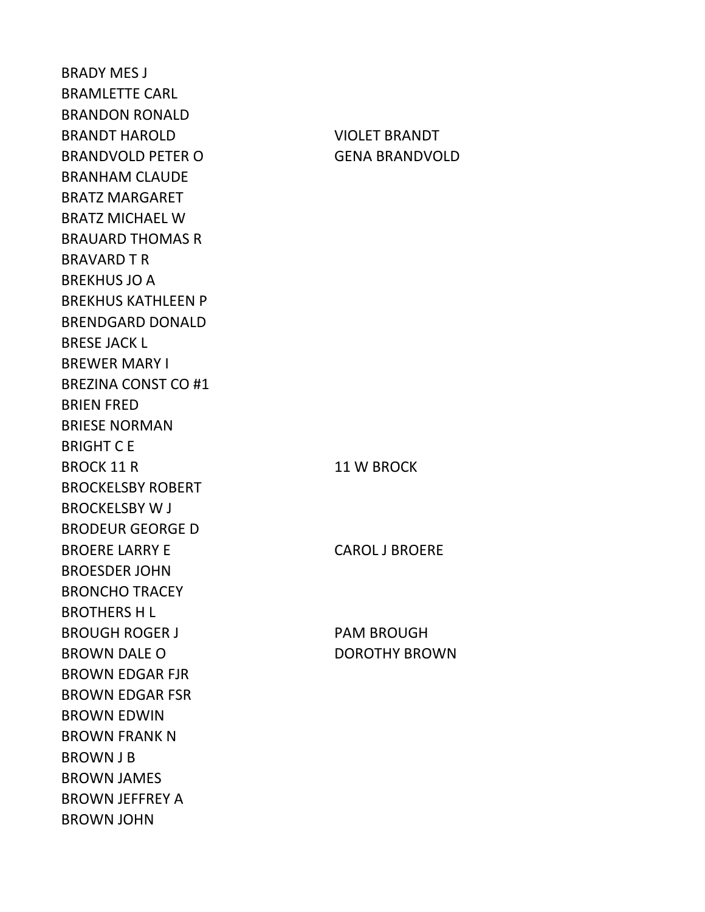BRADY MES J BRAMLETTE CARL BRANDON RONALD BRANDT HAROLD VIOLET BRANDT BRANDVOLD PETER O GENA BRANDVOLD BRANHAM CLAUDE BRATZ MARGARET BRATZ MICHAEL W BRAUARD THOMAS R BRAVARD T R BREKHUS JO A BREKHUS KATHLEEN P BRENDGARD DONALD BRESE JACK L BREWER MARY I BREZINA CONST CO #1 BRIEN FRED BRIESE NORMAN BRIGHT C E BROCK 11 R 11 W BROCK BROCKELSBY ROBERT BROCKELSBY W J BRODEUR GEORGE D BROERE LARRY E CAROL J BROERE BROESDER JOHN BRONCHO TRACEY BROTHERS H L BROUGH ROGER J PAM BROUGH BROWN DALE O DOROTHY BROWN BROWN EDGAR FJR BROWN EDGAR FSR BROWN EDWIN BROWN FRANK N BROWN J B BROWN JAMES BROWN JEFFREY A BROWN JOHN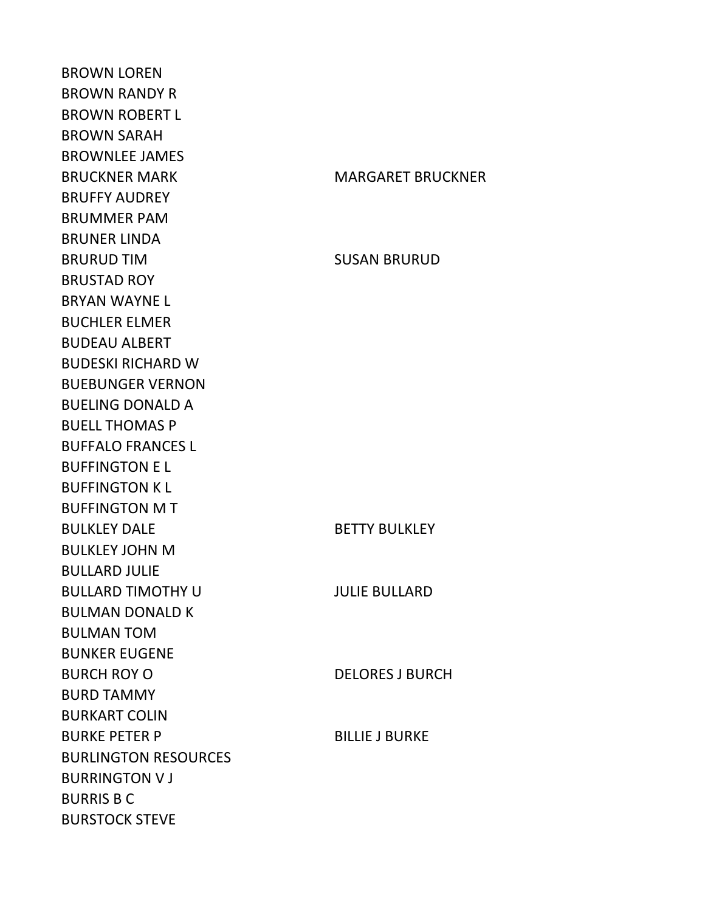BROWN LOREN BROWN RANDY R BROWN ROBERT L BROWN SARAH BROWNLEE JAMES BRUCKNER MARK MARGARET BRUCKNER BRUFFY AUDREY BRUMMER PAM BRUNER LINDA BRURUD TIM SUSAN BRURUD BRUSTAD ROY BRYAN WAYNE L BUCHLER ELMER BUDEAU ALBERT BUDESKI RICHARD W BUEBUNGER VERNON BUELING DONALD A BUELL THOMAS P BUFFALO FRANCES L BUFFINGTON E L BUFFINGTON K L BUFFINGTON M T BULKLEY DALE BETTY BULKLEY BULKLEY JOHN M BULLARD JULIE BULLARD TIMOTHY U JULIE BULLARD BULMAN DONALD K BULMAN TOM BUNKER EUGENE BURCH ROY O DELORES J BURCH BURD TAMMY BURKART COLIN BURKE PETER P BILLIE J BURKE BURLINGTON RESOURCES BURRINGTON V J BURRIS B C BURSTOCK STEVE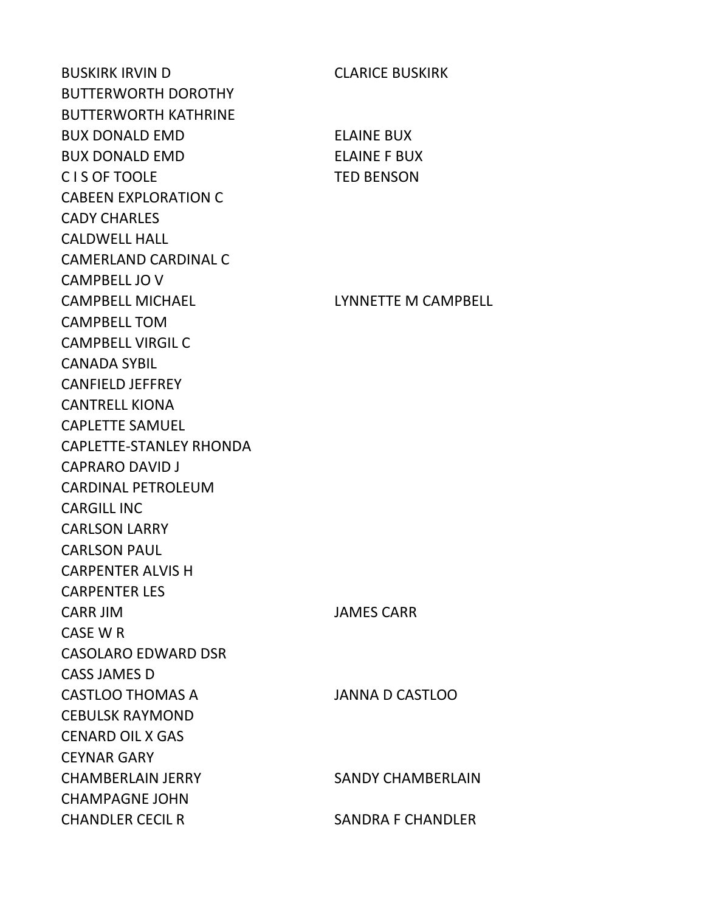BUSKIRK IRVIN D CLARICE BUSKIRK BUTTERWORTH DOROTHY BUTTERWORTH KATHRINE BUX DONALD EMD ELAINE BUX BUX DONALD EMD ELAINE F BUX C I S OF TOOLE TED BENSON CABEEN EXPLORATION C CADY CHARLES CALDWELL HALL CAMERLAND CARDINAL C CAMPBELL JO V CAMPBELL MICHAEL LYNNETTE M CAMPBELL CAMPBELL TOM CAMPBELL VIRGIL C CANADA SYBIL CANFIELD JEFFREY CANTRELL KIONA CAPLETTE SAMUEL CAPLETTE-STANLEY RHONDA CAPRARO DAVID J CARDINAL PETROLEUM CARGILL INC CARLSON LARRY CARLSON PAUL CARPENTER ALVIS H CARPENTER LES CARR JIM JAMES CARR CASE W R CASOLARO EDWARD DSR CASS JAMES D CASTLOO THOMAS A JANNA D CASTLOO CEBULSK RAYMOND CENARD OIL X GAS CEYNAR GARY CHAMBERLAIN JERRY SANDY CHAMBERLAIN CHAMPAGNE JOHN CHANDLER CECIL R SANDRA F CHANDLER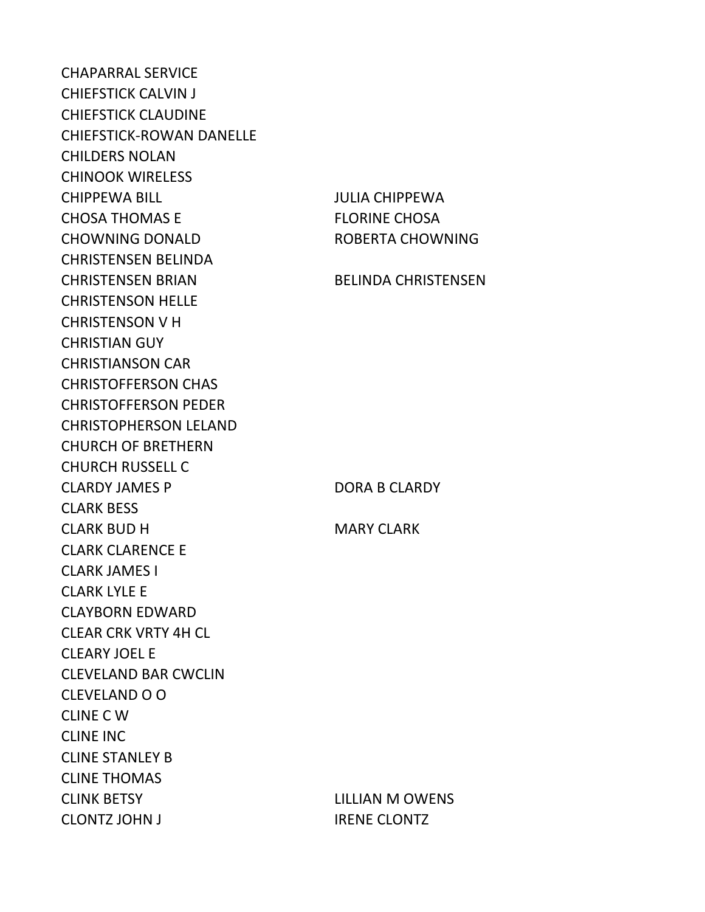CHAPARRAL SERVICE CHIEFSTICK CALVIN J CHIEFSTICK CLAUDINE CHIEFSTICK-ROWAN DANELLE CHILDERS NOLAN CHINOOK WIRELESS CHIPPEWA BILL JULIA CHIPPEWA CHOSA THOMAS E FLORINE CHOSA CHOWNING DONALD ROBERTA CHOWNING CHRISTENSEN BELINDA CHRISTENSEN BRIAN BELINDA CHRISTENSEN CHRISTENSON HELLE CHRISTENSON V H CHRISTIAN GUY CHRISTIANSON CAR CHRISTOFFERSON CHAS CHRISTOFFERSON PEDER CHRISTOPHERSON LELAND CHURCH OF BRETHERN CHURCH RUSSELL C CLARDY JAMES P DORA B CLARDY CLARK BESS CLARK BUD H MARY CLARK CLARK CLARENCE E CLARK JAMES I CLARK LYLE E CLAYBORN EDWARD CLEAR CRK VRTY 4H CL CLEARY JOEL E CLEVELAND BAR CWCLIN CLEVELAND O O CLINE C W CLINE INC CLINE STANLEY B CLINE THOMAS CLINK BETSY LILLIAN M OWENS CLONTZ JOHN J<br>IRENE CLONTZ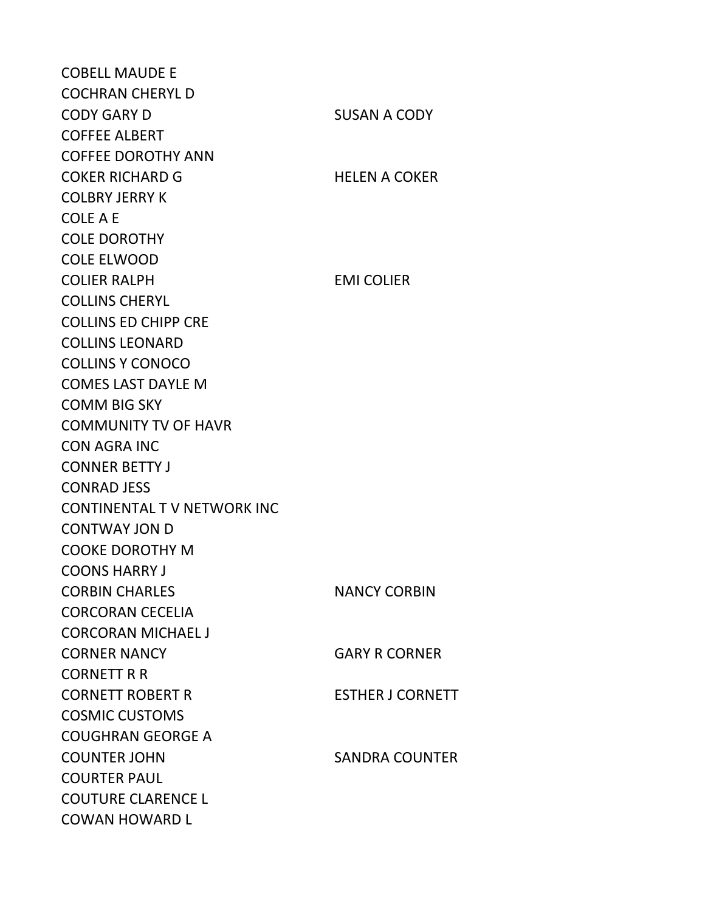COBELL MAUDE E COCHRAN CHERYL D CODY GARY D SUSAN A CODY COFFEE ALBERT COFFEE DOROTHY ANN COKER RICHARD G HELEN A COKER COLBRY JERRY K COLE A E COLE DOROTHY COLE ELWOOD COLIER RALPH EMI COLIER COLLINS CHERYL COLLINS ED CHIPP CRE COLLINS LEONARD COLLINS Y CONOCO COMES LAST DAYLE M COMM BIG SKY COMMUNITY TV OF HAVR CON AGRA INC CONNER BETTY J CONRAD JESS CONTINENTAL T V NETWORK INC CONTWAY JON D COOKE DOROTHY M COONS HARRY J CORBIN CHARLES NANCY CORBIN CORCORAN CECELIA CORCORAN MICHAEL J CORNER NANCY GARY R CORNER CORNETT R R CORNETT ROBERT R<br>
ESTHER J CORNETT COSMIC CUSTOMS COUGHRAN GEORGE A COUNTER JOHN SANDRA COUNTER COURTER PAUL COUTURE CLARENCE L COWAN HOWARD L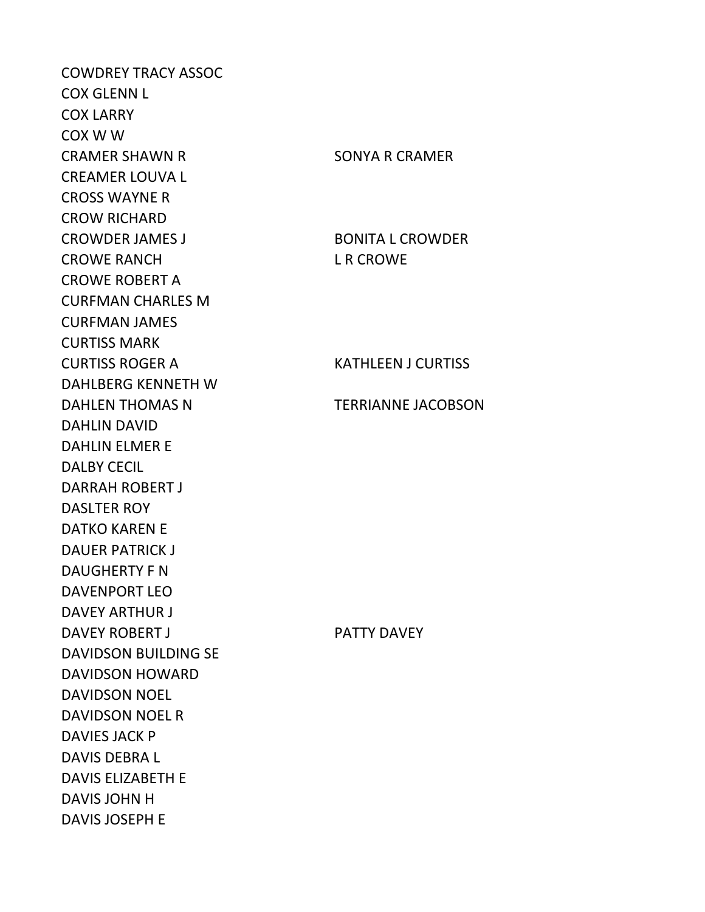COWDREY TRACY ASSOC COX GLENN L COX LARRY COX W W CRAMER SHAWN R SONYA R CRAMER CREAMER LOUVA L CROSS WAYNE R CROW RICHARD CROWDER JAMES J<br>BONITA L CROWDER CROWE RANCH L R CROWE CROWE ROBERT A CURFMAN CHARLES M CURFMAN JAMES CURTISS MARK CURTISS ROGER A KATHLEEN J CURTISS DAHLBERG KENNETH W DAHLEN THOMAS N TERRIANNE JACOBSON DAHLIN DAVID DAHLIN ELMER E DALBY CECIL DARRAH ROBERT J DASLTER ROY DATKO KAREN E DAUER PATRICK J DAUGHERTY F N DAVENPORT LEO DAVEY ARTHUR J DAVEY ROBERT JUNIOR CONTROLLER PATTY DAVEY DAVIDSON BUILDING SE DAVIDSON HOWARD DAVIDSON NOEL DAVIDSON NOEL R DAVIES JACK P DAVIS DEBRA L DAVIS ELIZABETH E DAVIS JOHN H DAVIS JOSEPH E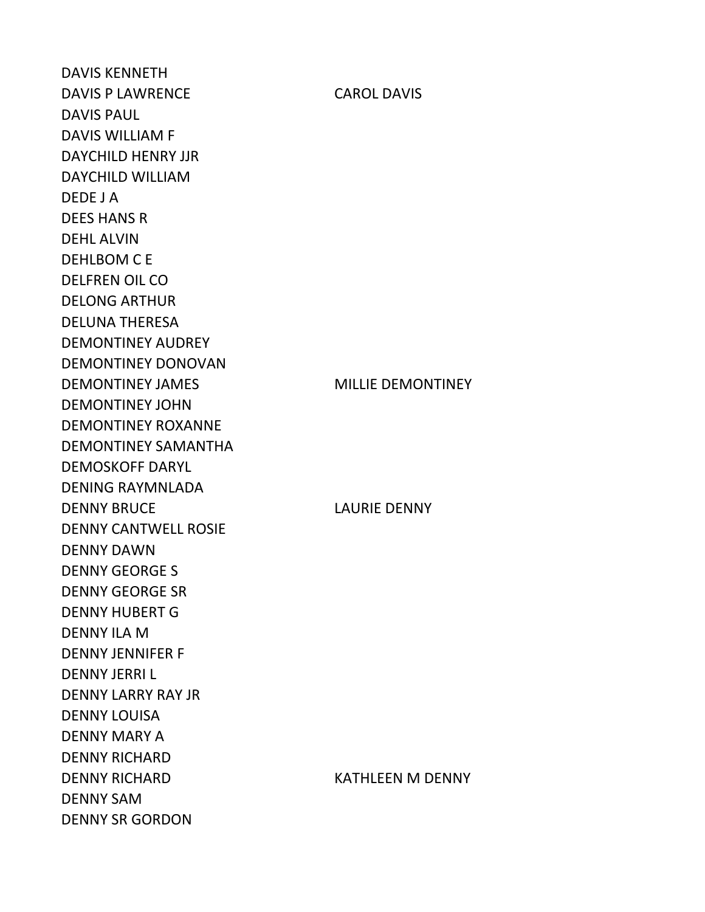DAVIS KENNETH DAVIS P LAWRENCE CAROL DAVIS DAVIS PAUL DAVIS WILLIAM F DAYCHILD HENRY JJR DAYCHILD WILLIAM DEDE J A DEES HANS R DEHL ALVIN DEHLBOM C E DELFREN OIL CO DELONG ARTHUR DELUNA THERESA DEMONTINEY AUDREY DEMONTINEY DONOVAN DEMONTINEY JAMES MILLIE DEMONTINEY DEMONTINEY JOHN DEMONTINEY ROXANNE DEMONTINEY SAMANTHA DEMOSKOFF DARYL DENING RAYMNLADA DENNY BRUCE LAURIE DENNY DENNY CANTWELL ROSIE DENNY DAWN DENNY GEORGE S DENNY GEORGE SR DENNY HUBERT G DENNY ILA M DENNY JENNIFER F DENNY JERRI L DENNY LARRY RAY JR DENNY LOUISA DENNY MARY A DENNY RICHARD DENNY RICHARD KATHLEEN M DENNY DENNY SAM DENNY SR GORDON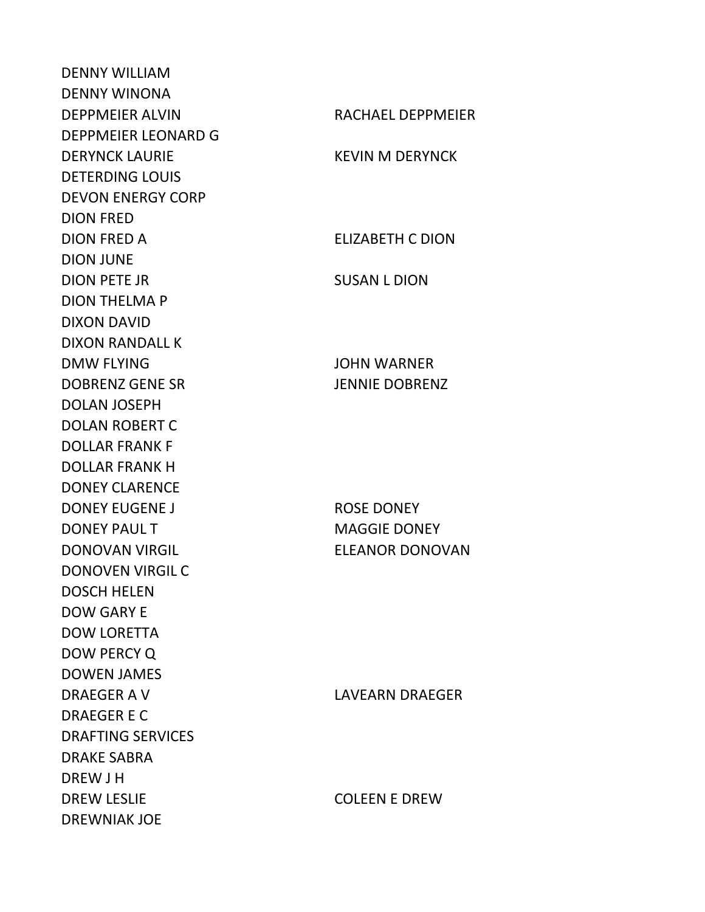DENNY WILLIAM DENNY WINONA DEPPMEIER ALVIN RACHAEL DEPPMEIER DEPPMEIER LEONARD G DERYNCK LAURIE KEVIN M DERYNCK DETERDING LOUIS DEVON ENERGY CORP DION FRED DION FRED A ELIZABETH C DION DION JUNE DION PETE JR SUSAN L DION DION THELMA P DIXON DAVID DIXON RANDALL K DMW FLYING JOHN WARNER DOBRENZ GENE SR JENNIE DOBRENZ DOLAN JOSEPH DOLAN ROBERT C DOLLAR FRANK F DOLLAR FRANK H DONEY CLARENCE DONEY EUGENE JUNEAU ROSE DONEY DONEY PAUL TWO CONTROLLED MAGGIE DONEY DONOVAN VIRGIL ELEANOR DONOVAN DONOVEN VIRGIL C DOSCH HELEN DOW GARY E DOW LORETTA DOW PERCY Q DOWEN JAMES DRAEGER A V LAVEARN DRAEGER DRAEGER E C DRAFTING SERVICES DRAKE SABRA DREW J H DREW LESLIE COLEEN E DREW DREWNIAK JOE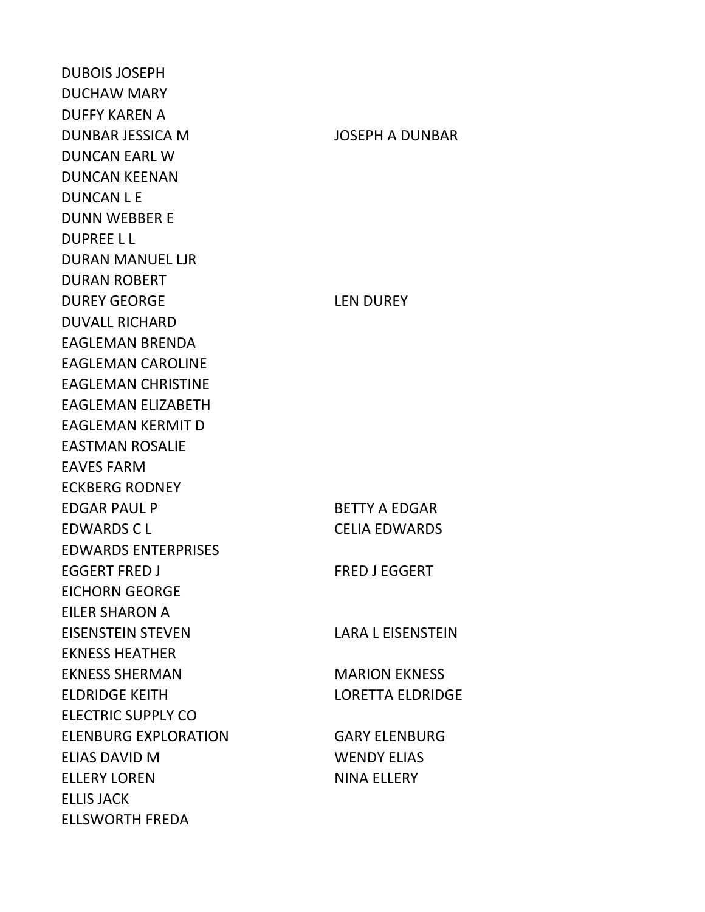DUBOIS JOSEPH DUCHAW MARY DUFFY KAREN A DUNBAR JESSICA M JOSEPH A DUNBAR DUNCAN EARL W DUNCAN KEENAN DUNCAN L E DUNN WEBBER E DUPREE L L DURAN MANUEL LJR DURAN ROBERT DUREY GEORGE LEN DUREY DUVALL RICHARD EAGLEMAN BRENDA EAGLEMAN CAROLINE EAGLEMAN CHRISTINE EAGLEMAN ELIZABETH EAGLEMAN KERMIT D EASTMAN ROSALIE EAVES FARM ECKBERG RODNEY EDGAR PAUL P BETTY A EDGAR EDWARDS C L CELIA EDWARDS EDWARDS ENTERPRISES EGGERT FRED J FRED J EGGERT EICHORN GEORGE EILER SHARON A EISENSTEIN STEVEN LARA L EISENSTEIN EKNESS HEATHER EKNESS SHERMAN MARION EKNESS ELDRIDGE KEITH LORETTA ELDRIDGE ELECTRIC SUPPLY CO ELENBURG EXPLORATION GARY ELENBURG ELIAS DAVID M WENDY ELIAS ELLERY LOREN NINA ELLERY ELLIS JACK ELLSWORTH FREDA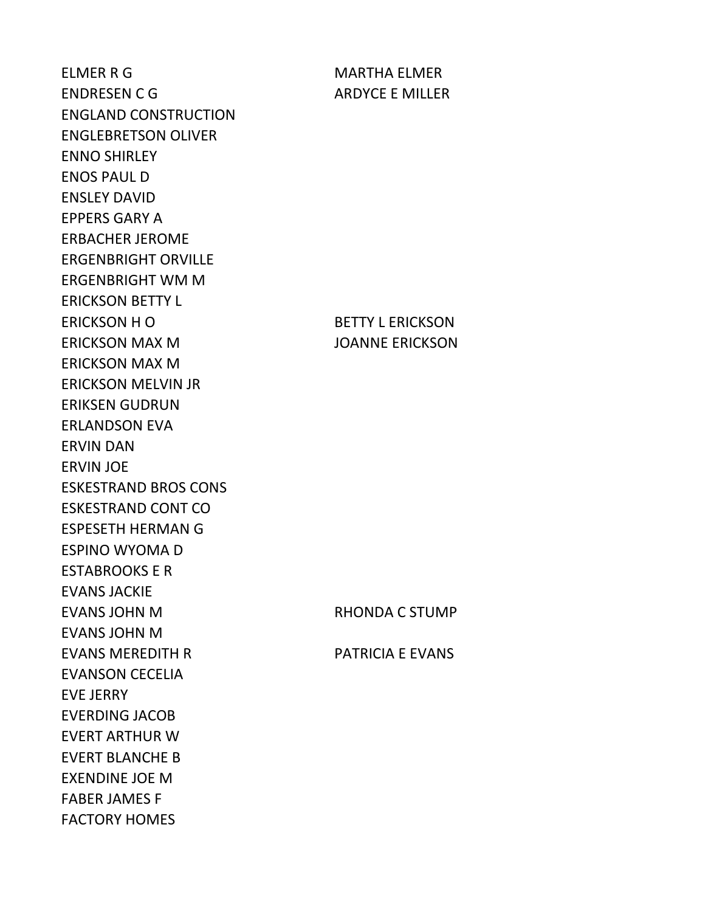ELMER R G MARTHA ELMER ENDRESEN C G ARDYCE E MILLER ENGLAND CONSTRUCTION ENGLEBRETSON OLIVER ENNO SHIRLEY ENOS PAUL D ENSLEY DAVID EPPERS GARY A ERBACHER JEROME ERGENBRIGHT ORVILLE ERGENBRIGHT WM M ERICKSON BETTY L ERICKSON H O BETTY L ERICKSON ERICKSON MAX M JOANNE ERICKSON ERICKSON MAX M ERICKSON MELVIN JR ERIKSEN GUDRUN ERLANDSON EVA ERVIN DAN ERVIN JOE ESKESTRAND BROS CONS ESKESTRAND CONT CO ESPESETH HERMAN G ESPINO WYOMA D ESTABROOKS E R EVANS JACKIE EVANS JOHN M RHONDA C STUMP EVANS JOHN M EVANS MEREDITH R PATRICIA E EVANS EVANSON CECELIA EVE JERRY EVERDING JACOB EVERT ARTHUR W EVERT BLANCHE B EXENDINE JOE M FABER JAMES F FACTORY HOMES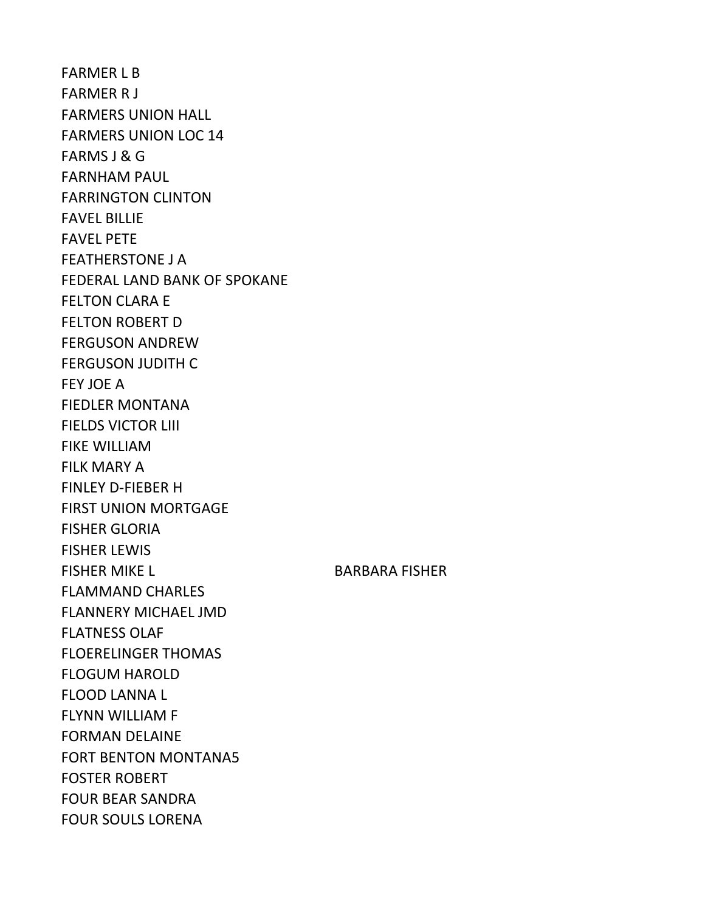FARMER L B FARMER R J FARMERS UNION HALL FARMERS UNION LOC 14 FARMS J & G FARNHAM PAUL FARRINGTON CLINTON FAVEL BILLIE FAVEL PETE FEATHERSTONE J A FEDERAL LAND BANK OF SPOKANE FELTON CLARA E FELTON ROBERT D FERGUSON ANDREW FERGUSON JUDITH C FEY JOE A FIEDLER MONTANA FIELDS VICTOR LIII FIKE WILLIAM FILK MARY A FINLEY D-FIEBER H FIRST UNION MORTGAGE FISHER GLORIA FISHER LEWIS FISHER MIKE LUISSEN BARBARA FISHER FLAMMAND CHARLES FLANNERY MICHAEL JMD FLATNESS OLAF FLOERELINGER THOMAS FLOGUM HAROLD FLOOD LANNA L FLYNN WILLIAM F FORMAN DELAINE FORT BENTON MONTANA5 FOSTER ROBERT FOUR BEAR SANDRA FOUR SOULS LORENA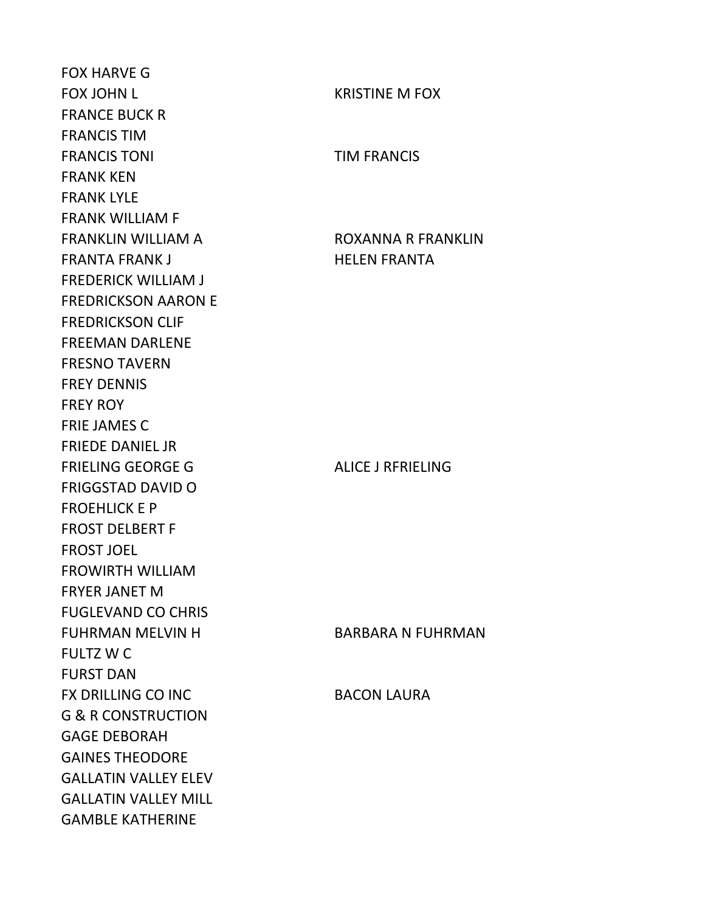FOX HARVE G FOX JOHN L KRISTINE M FOX FRANCE BUCK R FRANCIS TIM FRANCIS TONI TIM FRANCIS FRANK KEN FRANK LYLE FRANK WILLIAM F FRANKLIN WILLIAM A ROXANNA R FRANKLIN FRANTA FRANK JUNIOR STATES HELEN FRANTA FREDERICK WILLIAM J FREDRICKSON AARON E FREDRICKSON CLIF FREEMAN DARLENE FRESNO TAVERN FREY DENNIS FREY ROY FRIE JAMES C FRIEDE DANIEL JR FRIELING GEORGE G ALICE J RFRIELING FRIGGSTAD DAVID O FROEHLICK E P FROST DELBERT F FROST JOEL FROWIRTH WILLIAM FRYER JANET M FUGLEVAND CO CHRIS FUHRMAN MELVIN H BARBARA N FUHRMAN FULTZ W C FURST DAN FX DRILLING CO INC BACON LAURA G & R CONSTRUCTION GAGE DEBORAH GAINES THEODORE GALLATIN VALLEY ELEV GALLATIN VALLEY MILL GAMBLE KATHERINE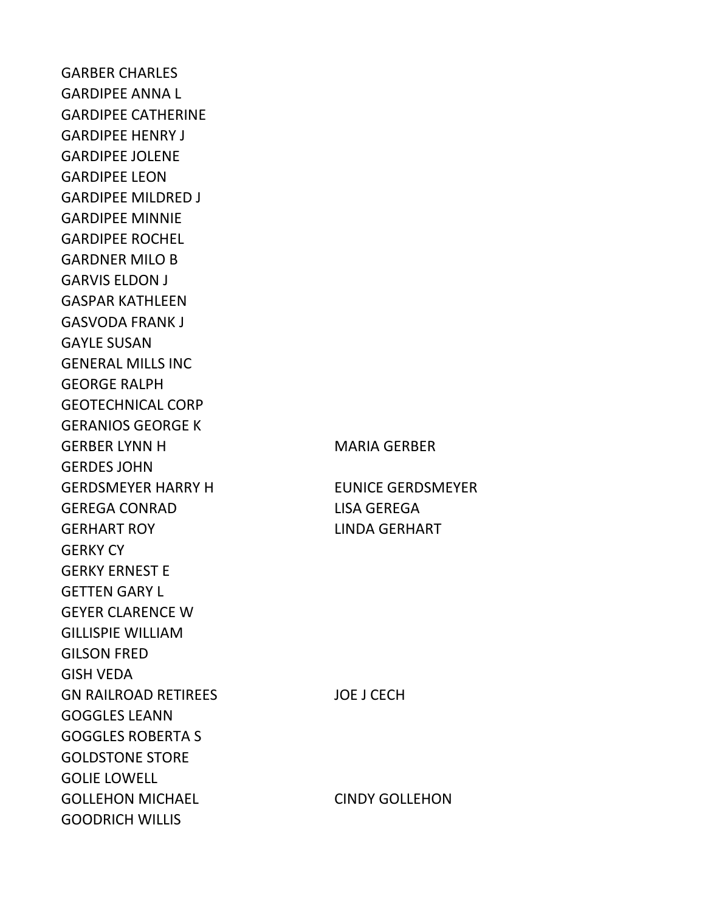GARBER CHARLES GARDIPEE ANNA L GARDIPEE CATHERINE GARDIPEE HENRY J GARDIPEE JOLENE GARDIPEE LEON GARDIPEE MILDRED J GARDIPEE MINNIE GARDIPEE ROCHEL GARDNER MILO B GARVIS ELDON J GASPAR KATHLEEN GASVODA FRANK J GAYLE SUSAN GENERAL MILLS INC GEORGE RALPH GEOTECHNICAL CORP GERANIOS GEORGE K GERBER LYNN HOLD MARIA GERBER GERDES JOHN GERDSMEYER HARRY H EUNICE GERDSMEYER GEREGA CONRAD LISA GEREGA GERHART ROY LINDA GERHART GERKY CY GERKY ERNEST E GETTEN GARY L GEYER CLARENCE W GILLISPIE WILLIAM GILSON FRED GISH VEDA GN RAILROAD RETIREES JOE J CECH GOGGLES LEANN GOGGLES ROBERTA S GOLDSTONE STORE GOLIE LOWELL GOLLEHON MICHAEL CINDY GOLLEHON GOODRICH WILLIS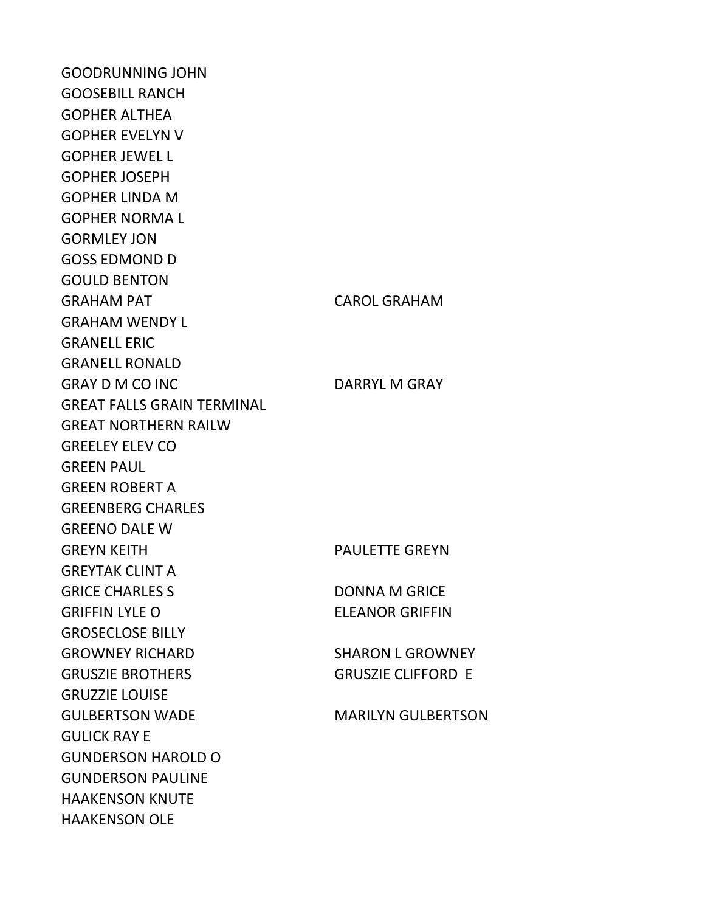GOODRUNNING JOHN GOOSEBILL RANCH GOPHER ALTHEA GOPHER EVELYN V GOPHER JEWEL L GOPHER JOSEPH GOPHER LINDA M GOPHER NORMA L GORMLEY JON GOSS EDMOND D GOULD BENTON GRAHAM PAT CAROL GRAHAM GRAHAM WENDY L GRANELL ERIC GRANELL RONALD GRAY D M CO INC DARRYL M GRAY GREAT FALLS GRAIN TERMINAL GREAT NORTHERN RAILW GREELEY ELEV CO GREEN PAUL GREEN ROBERT A GREENBERG CHARLES GREENO DALE W GREYN KEITH FAULETTE GREYN GREYTAK CLINT A GRICE CHARLES S<br>
DONNA M GRICE GRIFFIN LYLE O ELEANOR GRIFFIN GROSECLOSE BILLY GROWNEY RICHARD SHARON L GROWNEY GRUSZIE BROTHERS GRUSZIE CLIFFORD E GRUZZIE LOUISE GULBERTSON WADE MARILYN GULBERTSON GULICK RAY E GUNDERSON HAROLD O GUNDERSON PAULINE HAAKENSON KNUTE HAAKENSON OLE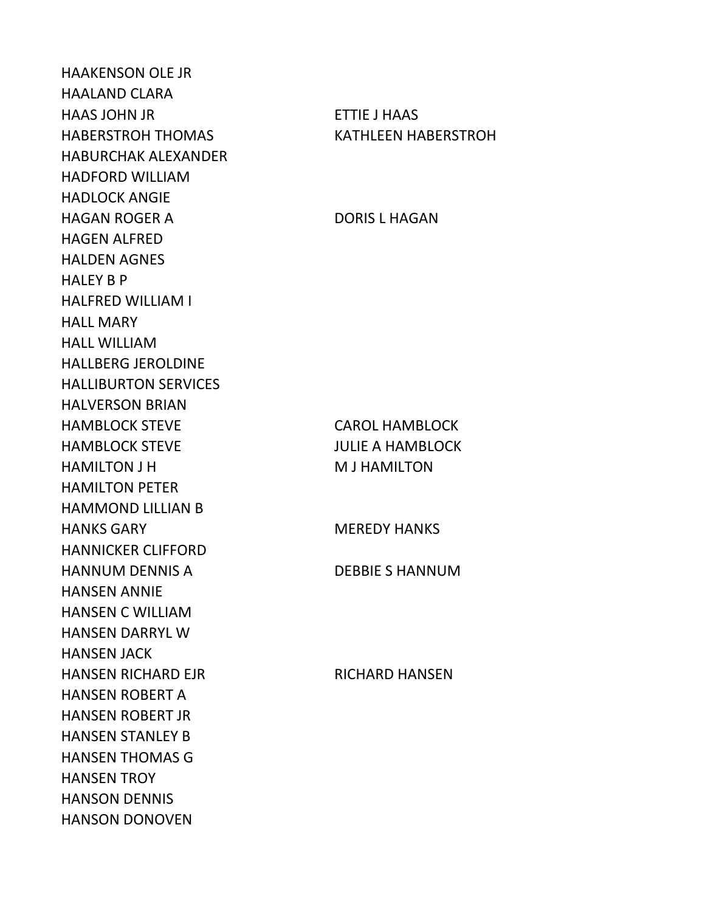HAAKENSON OLE JR HAALAND CLARA HAAS JOHN JR ETTIE J HAAS HABERSTROH THOMAS KATHLEEN HABERSTROH HABURCHAK ALEXANDER HADFORD WILLIAM HADLOCK ANGIE HAGAN ROGER A DORIS L HAGAN HAGEN ALFRED HALDEN AGNES HALEY B P HALFRED WILLIAM I HALL MARY HALL WILLIAM HALLBERG JEROLDINE HALLIBURTON SERVICES HALVERSON BRIAN HAMBLOCK STEVE CAROL HAMBLOCK HAMBLOCK STEVE **Internal and STEVE** JULIE A HAMBLOCK HAMILTON J H M J HAMILTON HAMILTON PETER HAMMOND LILLIAN B HANKS GARY MEREDY HANKS HANNICKER CLIFFORD HANNUM DENNIS A DEBBIE S HANNUM HANSEN ANNIE HANSEN C WILLIAM HANSEN DARRYL W HANSEN JACK HANSEN RICHARD EJR RICHARD HANSEN HANSEN ROBERT A HANSEN ROBERT JR HANSEN STANLEY B HANSEN THOMAS G HANSEN TROY HANSON DENNIS HANSON DONOVEN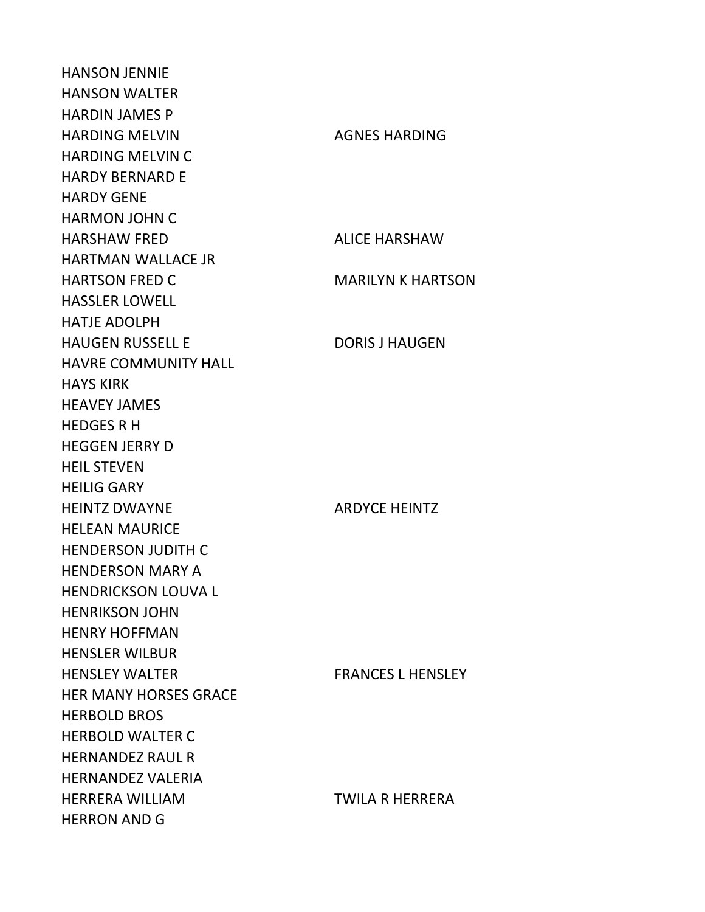HANSON JENNIE HANSON WALTER HARDIN JAMES P HARDING MELVIN AGNES HARDING HARDING MELVIN C HARDY BERNARD E HARDY GENE HARMON JOHN C HARSHAW FRED ALICE HARSHAW HARTMAN WALLACE JR HARTSON FRED C MARILYN K HARTSON HASSLER LOWELL HATJE ADOLPH HAUGEN RUSSELL E DORIS J HAUGEN HAVRE COMMUNITY HALL HAYS KIRK HEAVEY JAMES HEDGES R H HEGGEN JERRY D HEIL STEVEN HEILIG GARY HEINTZ DWAYNE ARDYCE HEINTZ HELEAN MAURICE HENDERSON JUDITH C HENDERSON MARY A HENDRICKSON LOUVA L HENRIKSON JOHN HENRY HOFFMAN HENSLER WILBUR HENSLEY WALTER FRANCES L HENSLEY HER MANY HORSES GRACE HERBOLD BROS HERBOLD WALTER C HERNANDEZ RAUL R HERNANDEZ VALERIA HERRERA WILLIAM TWILA R HERRERA HERRON AND G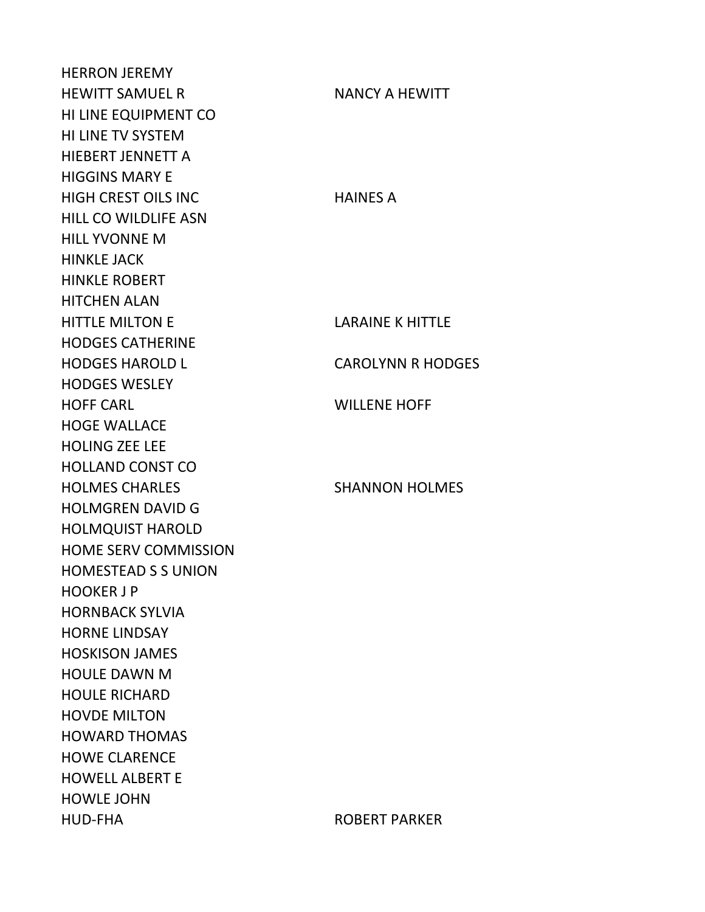HERRON JEREMY HEWITT SAMUEL R NANCY A HEWITT HI LINE EQUIPMENT CO HI LINE TV SYSTEM HIEBERT JENNETT A HIGGINS MARY E HIGH CREST OILS INC HAINES A HILL CO WILDLIFE ASN HILL YVONNE M HINKLE JACK HINKLE ROBERT HITCHEN ALAN HITTLE MILTON E LARAINE K HITTLE HODGES CATHERINE HODGES HAROLD L CAROLYNN R HODGES HODGES WESLEY HOFF CARL WILLENE HOFF HOGE WALLACE HOLING ZEE LEE HOLLAND CONST CO HOLMES CHARLES SHANNON HOLMES HOLMGREN DAVID G HOLMQUIST HAROLD HOME SERV COMMISSION HOMESTEAD S S UNION HOOKER J P HORNBACK SYLVIA HORNE LINDSAY HOSKISON JAMES HOULE DAWN M HOULE RICHARD HOVDE MILTON HOWARD THOMAS HOWE CLARENCE HOWELL ALBERT E HOWLE JOHN HUD-FHA ROBERT PARKER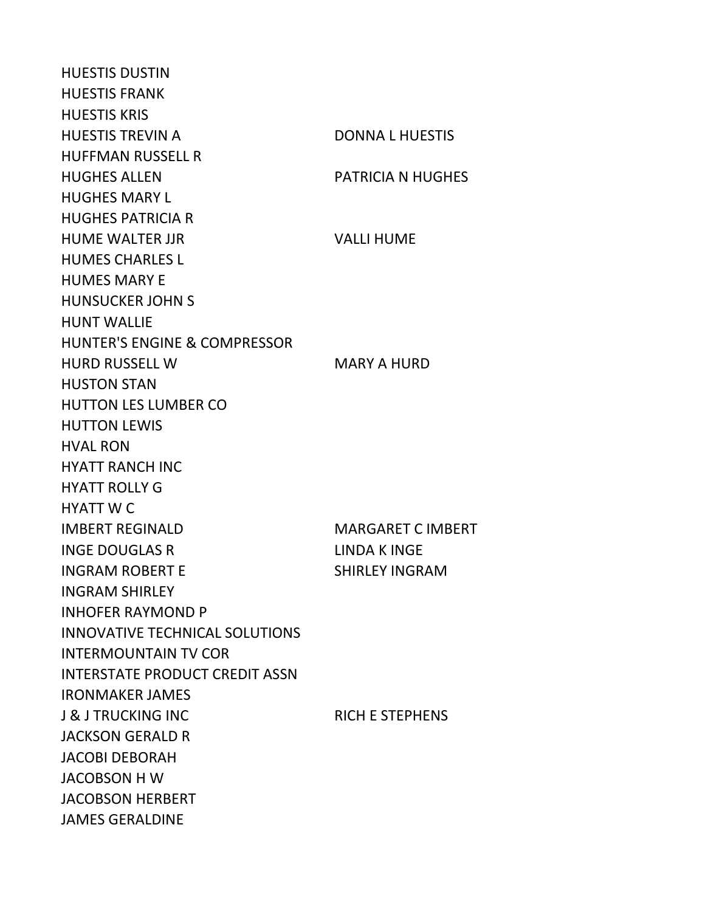HUESTIS DUSTIN HUESTIS FRANK HUESTIS KRIS HUESTIS TREVIN A DONNA L HUESTIS HUFFMAN RUSSELL R HUGHES ALLEN PATRICIA N HUGHES HUGHES MARY L HUGHES PATRICIA R HUME WALTER JJR VALLI HUME HUMES CHARLES L HUMES MARY E HUNSUCKER JOHN S HUNT WALLIE HUNTER'S ENGINE & COMPRESSOR HURD RUSSELL W MARY A HURD HUSTON STAN HUTTON LES LUMBER CO HUTTON LEWIS HVAL RON HYATT RANCH INC HYATT ROLLY G HYATT W C IMBERT REGINALD MARGARET C IMBERT INGE DOUGLAS R LINDA K INGE INGRAM ROBERT E SHIRLEY INGRAM INGRAM SHIRLEY INHOFER RAYMOND P INNOVATIVE TECHNICAL SOLUTIONS INTERMOUNTAIN TV COR INTERSTATE PRODUCT CREDIT ASSN IRONMAKER JAMES J & J TRUCKING INC<br>RICH E STEPHENS JACKSON GERALD R JACOBI DEBORAH JACOBSON H W JACOBSON HERBERT JAMES GERALDINE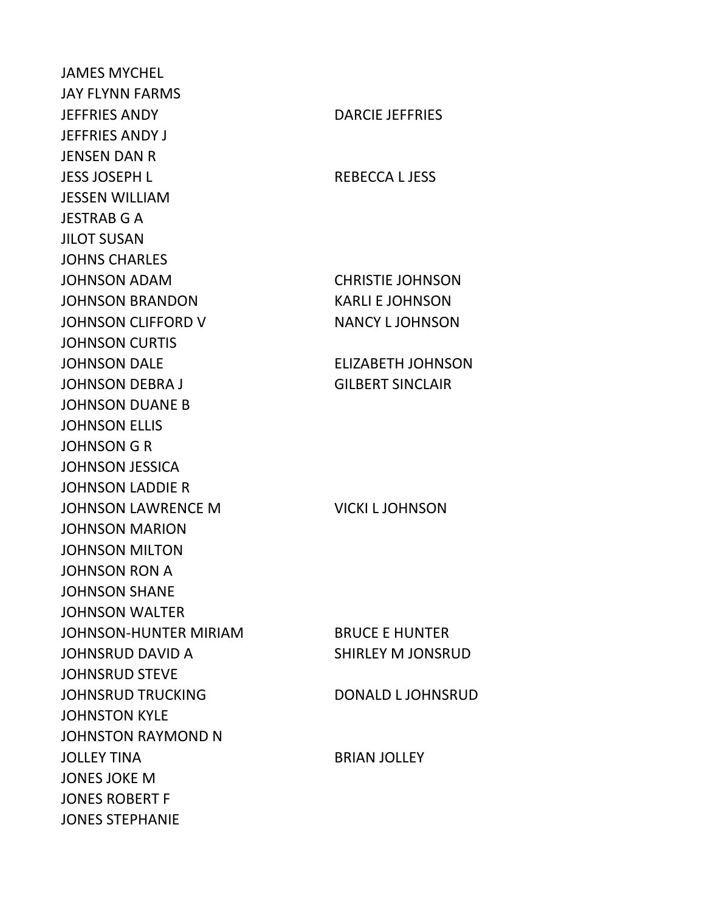JAMES MYCHEL JAY FLYNN FARMS JEFFRIES ANDY DARCIE JEFFRIES JEFFRIES ANDY J JENSEN DAN R JESS JOSEPH L REBECCA L JESS JESSEN WILLIAM JESTRAB G A JILOT SUSAN JOHNS CHARLES JOHNSON ADAM CHRISTIE JOHNSON JOHNSON BRANDON KARLI E JOHNSON JOHNSON CLIFFORD V NANCY LJOHNSON JOHNSON CURTIS JOHNSON DALE ELIZABETH JOHNSON JOHNSON DEBRA J GILBERT SINCLAIR JOHNSON DUANE B JOHNSON ELLIS JOHNSON G R JOHNSON JESSICA JOHNSON LADDIE R JOHNSON LAWRENCE M VICKI L JOHNSON JOHNSON MARION JOHNSON MILTON JOHNSON RON A JOHNSON SHANE JOHNSON WALTER JOHNSON-HUNTER MIRIAM BRUCE E HUNTER JOHNSRUD DAVID A SHIRLEY M JONSRUD JOHNSRUD STEVE JOHNSRUD TRUCKING DONALD LJOHNSRUD JOHNSTON KYLE JOHNSTON RAYMOND N JOLLEY TINA BRIAN JOLLEY JONES JOKE M JONES ROBERT F JONES STEPHANIE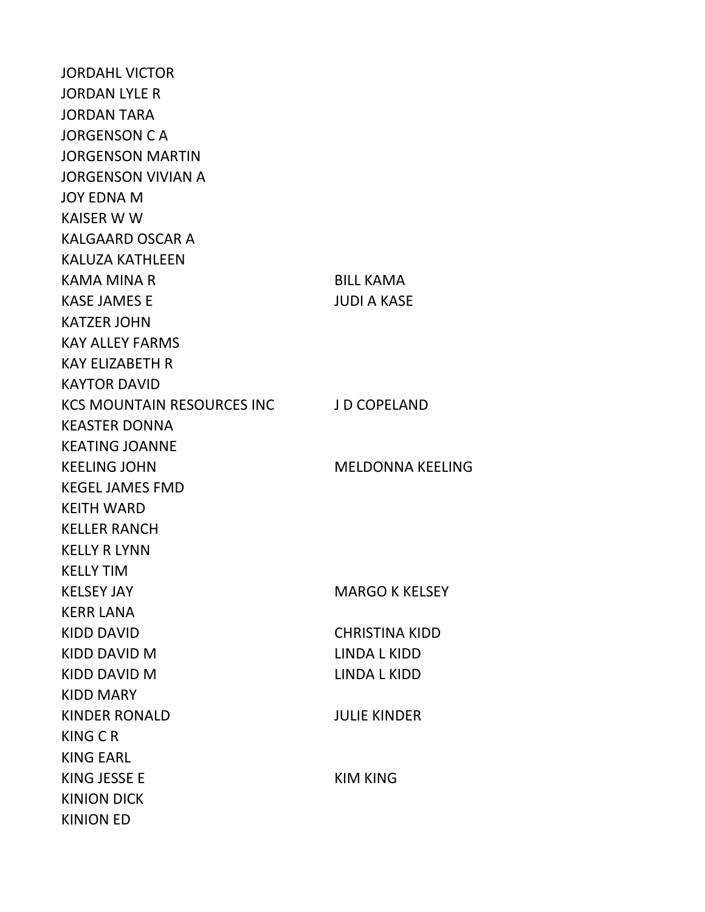JORDAHL VICTOR JORDAN LYLE R JORDAN TARA JORGENSON C A JORGENSON MARTIN JORGENSON VIVIAN A JOY EDNA M KAISER W W KALGAARD OSCAR A KALUZA KATHLEEN KAMA MINA R BILL KAMA KASE JAMES E JUDI A KASE KATZER JOHN KAY ALLEY FARMS KAY ELIZABETH R KAYTOR DAVID KCS MOUNTAIN RESOURCES INC J D COPELAND KEASTER DONNA KEATING JOANNE KEELING JOHN MELDONNA KEELING KEGEL JAMES FMD KEITH WARD KELLER RANCH KELLY R LYNN KELLY TIM KELSEY JAY MARGO K KELSEY KERR LANA KIDD DAVID CHRISTINA KIDD KIDD DAVID M LINDA L KIDD KIDD DAVID M LINDA L KIDD KIDD MARY KINDER RONALD JULIE KINDER KING C R KING EARL KING JESSE E KIM KING KINION DICK KINION ED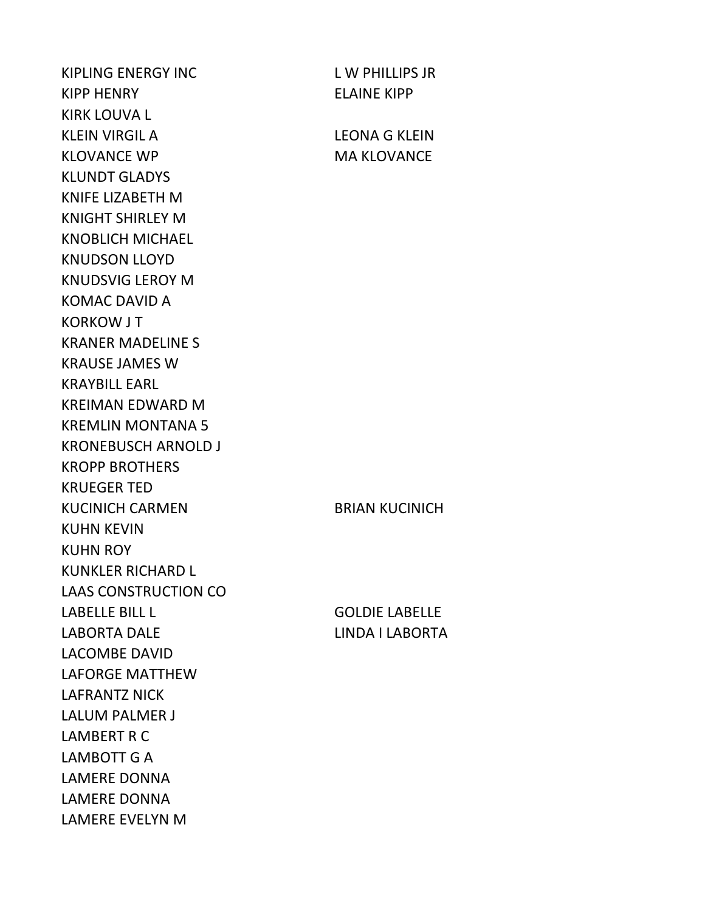KIPLING ENERGY INC L W PHILLIPS JR KIPP HENRY ELAINE KIPP KIRK LOUVA L KLEIN VIRGIL A LEONA G KLEIN KLOVANCE WP MA KLOVANCE KLUNDT GLADYS KNIFE LIZABETH M KNIGHT SHIRLEY M KNOBLICH MICHAEL KNUDSON LLOYD KNUDSVIG LEROY M KOMAC DAVID A KORKOW J T KRANER MADELINE S KRAUSE JAMES W KRAYBILL EARL KREIMAN EDWARD M KREMLIN MONTANA 5 KRONEBUSCH ARNOLD J KROPP BROTHERS KRUEGER TED KUCINICH CARMEN BRIAN KUCINICH KUHN KEVIN KUHN ROY KUNKLER RICHARD L LAAS CONSTRUCTION CO LABELLE BILL L GOLDIE LABELLE LABORTA DALE LINDA I LABORTA LACOMBE DAVID LAFORGE MATTHEW LAFRANTZ NICK LALUM PALMER J LAMBERT R C LAMBOTT G A LAMERE DONNA LAMERE DONNA LAMERE EVELYN M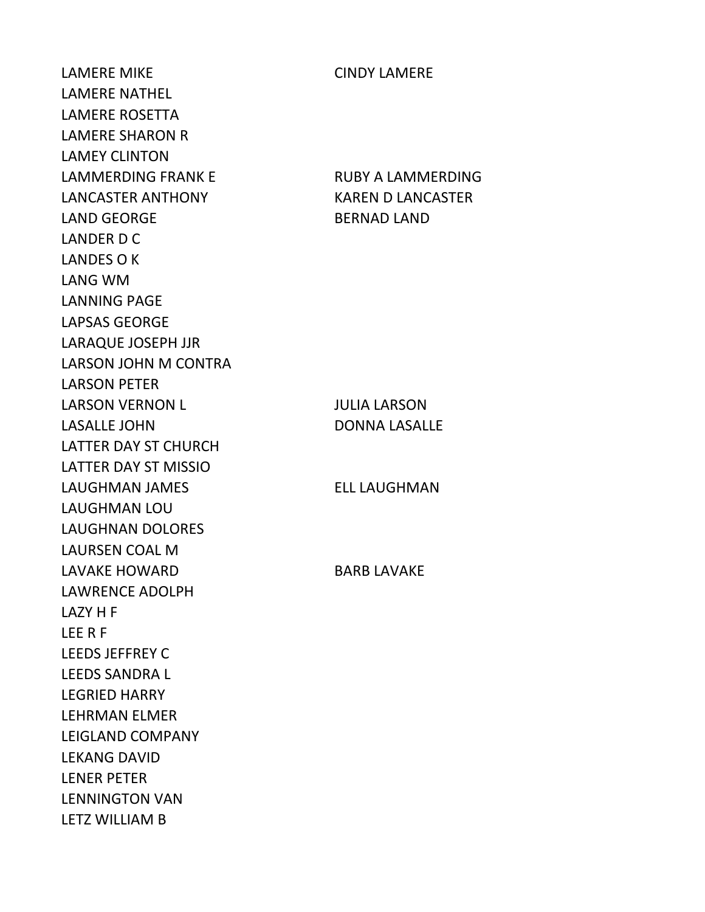LAMERE MIKE CINDY LAMERE LAMERE NATHEL LAMERE ROSETTA LAMERE SHARON R LAMEY CLINTON LAMMERDING FRANK E RUBY A LAMMERDING LANCASTER ANTHONY KAREN D LANCASTER LAND GEORGE BERNAD LAND LANDER D C LANDES O K LANG WM LANNING PAGE LAPSAS GEORGE LARAQUE JOSEPH JJR LARSON JOHN M CONTRA LARSON PETER LARSON VERNON L JULIA LARSON LASALLE JOHN DONNA LASALLE LATTER DAY ST CHURCH LATTER DAY ST MISSIO LAUGHMAN JAMES ELL LAUGHMAN LAUGHMAN LOU LAUGHNAN DOLORES LAURSEN COAL M LAVAKE HOWARD BARB LAVAKE LAWRENCE ADOLPH LAZY H F LEE R F LEEDS JEFFREY C LEEDS SANDRA L LEGRIED HARRY LEHRMAN ELMER LEIGLAND COMPANY LEKANG DAVID LENER PETER LENNINGTON VAN LETZ WILLIAM B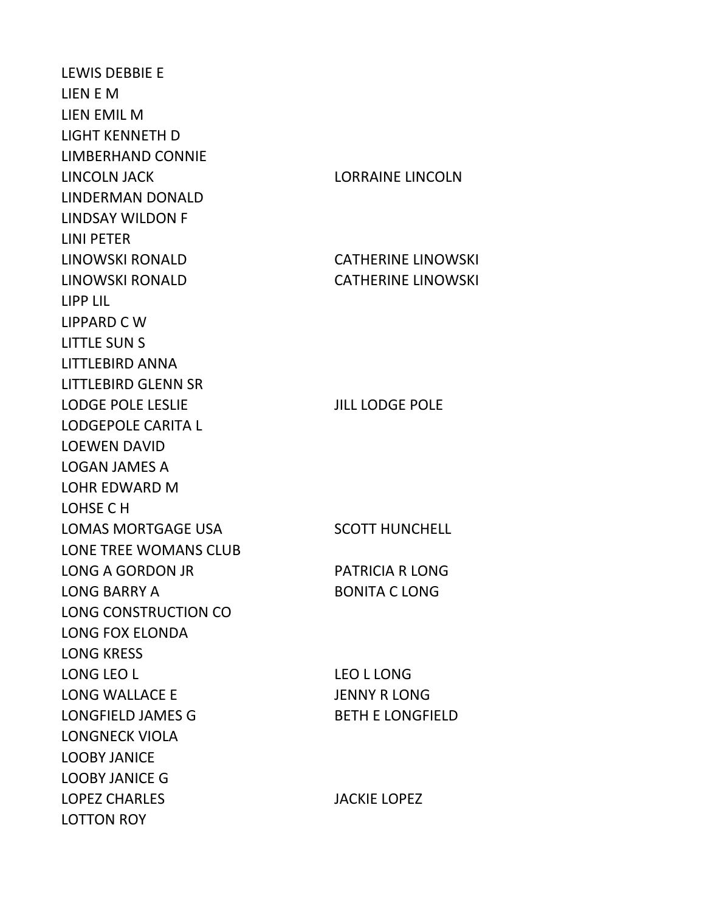LEWIS DEBBIE E LIEN E M LIEN EMIL M LIGHT KENNETH D LIMBERHAND CONNIE LINCOLN JACK LORRAINE LINCOLN LINDERMAN DONALD LINDSAY WILDON F LINI PETER LINOWSKI RONALD CATHERINE LINOWSKI LINOWSKI RONALD CATHERINE LINOWSKI LIPP LIL LIPPARD C W LITTLE SUN S LITTLEBIRD ANNA LITTLEBIRD GLENN SR LODGE POLE LESLIE VIEW JILL LODGE POLE LODGEPOLE CARITA L LOEWEN DAVID LOGAN JAMES A LOHR EDWARD M LOHSE C H LOMAS MORTGAGE USA SCOTT HUNCHELL LONE TREE WOMANS CLUB LONG A GORDON JR PATRICIA R LONG LONG BARRY A BONITA C LONG LONG CONSTRUCTION CO LONG FOX ELONDA LONG KRESS LONG LEO L LONG NEO L LONG LONG WALLACE E JENNY R LONG LONGFIELD JAMES G BETH E LONGFIELD LONGNECK VIOLA LOOBY JANICE LOOBY JANICE G LOPEZ CHARLES JACKIE LOPEZ LOTTON ROY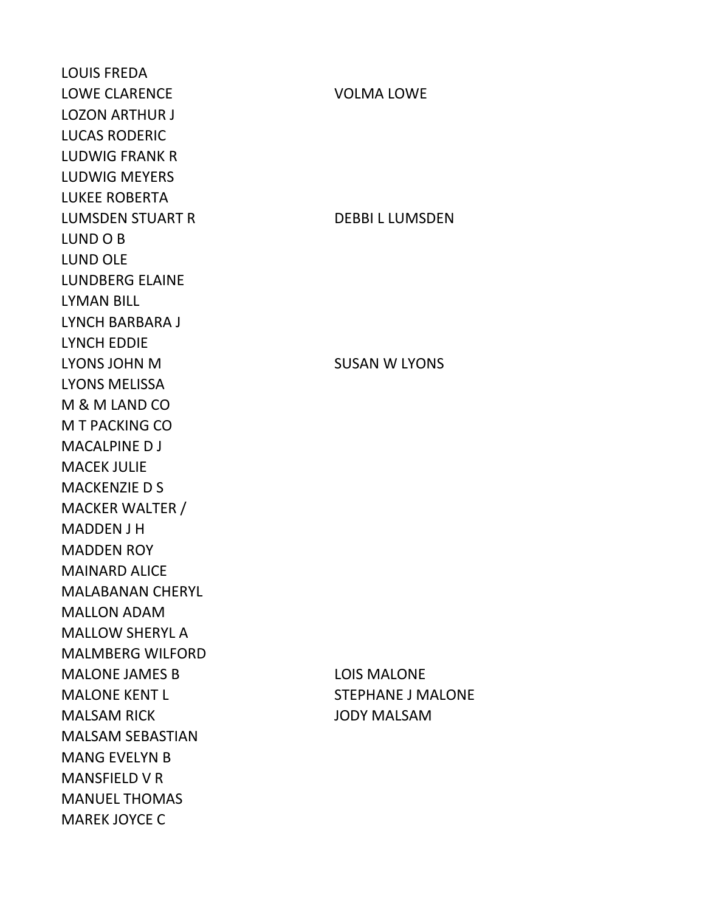LOUIS FREDA LOWE CLARENCE VOLMA LOWE LOZON ARTHUR J LUCAS RODERIC LUDWIG FRANK R LUDWIG MEYERS LUKEE ROBERTA LUMSDEN STUART R DEBBI L LUMSDEN LUND O B LUND OLE LUNDBERG ELAINE LYMAN BILL LYNCH BARBARA J LYNCH EDDIE LYONS JOHN M SUSAN W LYONS LYONS MELISSA M & M LAND CO M T PACKING CO MACALPINE D J MACEK JULIE MACKENZIE D S MACKER WALTER / MADDEN J H MADDEN ROY MAINARD ALICE MALABANAN CHERYL MALLON ADAM MALLOW SHERYL A MALMBERG WILFORD MALONE JAMES B LOIS MALONE MALONE KENT LETTER STEPHANE J MALONE MALSAM RICK JODY MALSAM MALSAM SEBASTIAN MANG EVELYN B MANSFIELD V R MANUEL THOMAS MAREK JOYCE C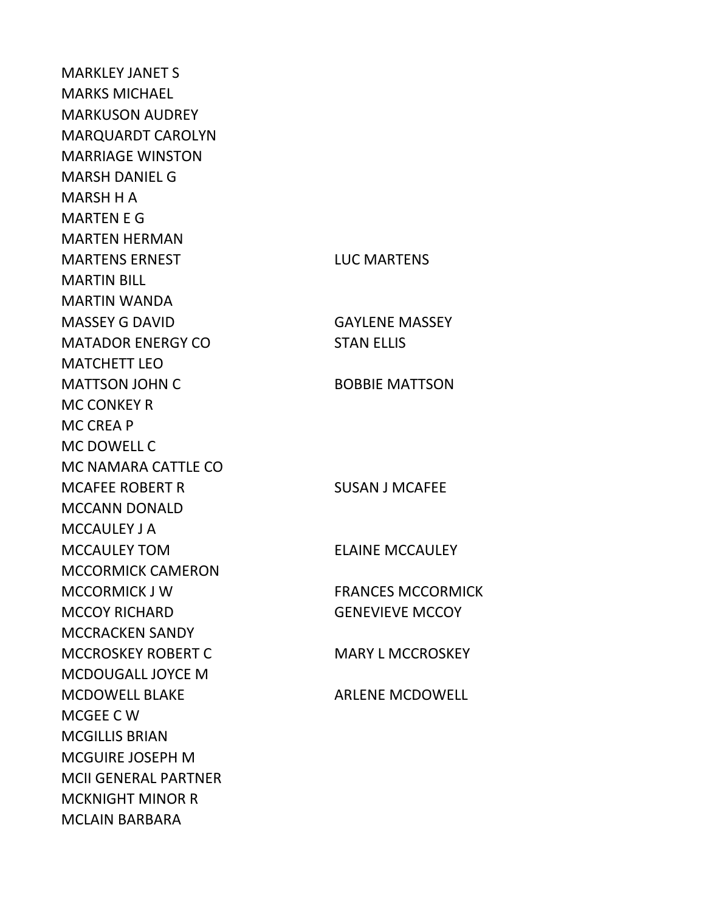MARKLEY JANET S MARKS MICHAEL MARKUSON AUDREY MARQUARDT CAROLYN MARRIAGE WINSTON MARSH DANIEL G MARSH H A MARTEN E G MARTEN HERMAN MARTENS ERNEST LUC MARTENS MARTIN BILL MARTIN WANDA MASSEY G DAVID GAYLENE MASSEY MATADOR ENERGY CO<br>
STAN ELLIS MATCHETT LEO MATTSON JOHN C BOBBIE MATTSON MC CONKEY R MC CREA P MC DOWELL C MC NAMARA CATTLE CO MCAFEE ROBERT R SUSAN J MCAFEE MCCANN DONALD MCCAULEY J A MCCAULEY TOM ELAINE MCCAULEY MCCORMICK CAMERON MCCORMICK J W FRANCES MCCORMICK MCCOY RICHARD **GENEVIEVE MCCOY** MCCRACKEN SANDY MCCROSKEY ROBERT C MARY L MCCROSKEY MCDOUGALL JOYCE M MCDOWELL BLAKE ARLENE MCDOWELL MCGEE C W MCGILLIS BRIAN MCGUIRE JOSEPH M MCII GENERAL PARTNER MCKNIGHT MINOR R MCLAIN BARBARA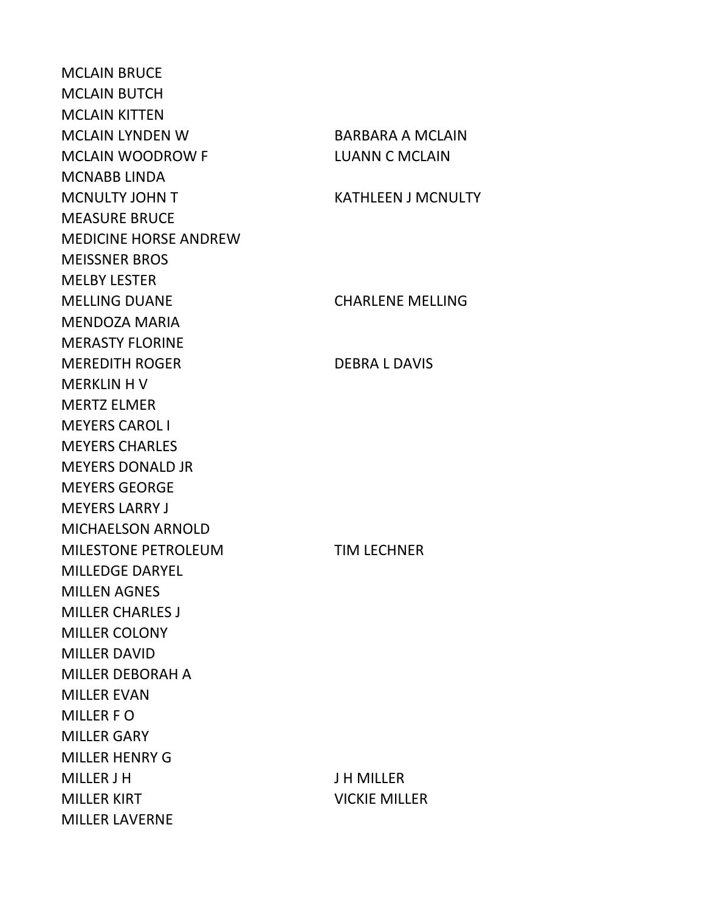MCLAIN BRUCE MCLAIN BUTCH MCLAIN KITTEN MCLAIN LYNDEN W MCLAIN WOODROW F MCNABB LINDA MCNULTY JOHN T MEASURE BRUCE MEDICINE HORSE ANDREW MEISSNER BROS MELBY LESTER **MELLING DUANE** MENDOZA MARIA MERASTY FLORINE **MEREDITH ROGER** MERKLIN H V MERTZ ELMER MEYERS CAROL I MEYERS CHARLES MEYERS DONALD JR MEYERS GEORGE MEYERS LARRY J MICHAELSON ARNOLD MILESTONE PETROLEUM MILLEDGE DARYEL MILLEN AGNES MILLER CHARLES J MILLER COLONY MILLER DAVID MILLER DEBORAH A MILLER EVAN MILLER F O MILLER GARY MILLER HENRY G MILLER J H MILLER KIRT VICKIE MILLER MILLER LAVERNE

| <b>BARBARA A MCLAIN</b><br><b>LUANN C MCLAIN</b> |
|--------------------------------------------------|
| <b>KATHLEEN J MCNULTY</b>                        |
|                                                  |
| <b>CHARLENE MELLING</b>                          |
| <b>DEBRA L DAVIS</b>                             |
|                                                  |
|                                                  |
| <b>TIM LECHNER</b>                               |
|                                                  |
|                                                  |
|                                                  |
| <b>J H MILLER</b>                                |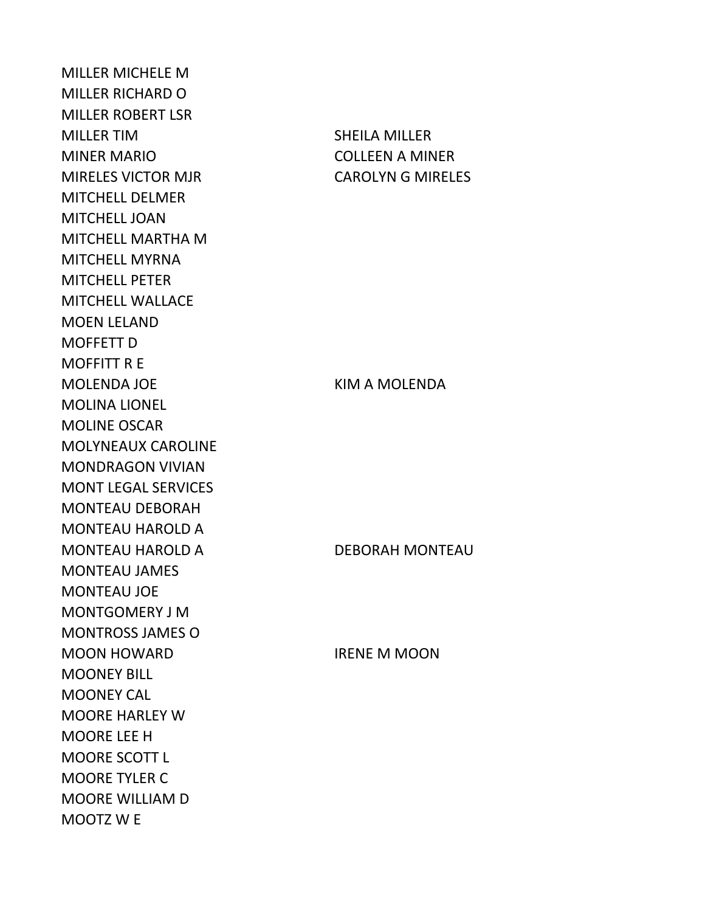MILLER MICHELE M MILLER RICHARD O MILLER ROBERT LSR MILLER TIM SHEILA MILLER MINER MARIO COLLEEN A MINER MIRELES VICTOR MJR **CAROLYN G MIRELES** MITCHELL DELMER MITCHELL JOAN MITCHELL MARTHA M MITCHELL MYRNA MITCHELL PETER MITCHELL WALLACE MOEN LELAND MOFFETT D MOFFITT R E MOLENDA JOE KIM A MOLENDA MOLINA LIONEL MOLINE OSCAR MOLYNEAUX CAROLINE MONDRAGON VIVIAN MONT LEGAL SERVICES MONTEAU DEBORAH MONTEAU HAROLD A MONTEAU HAROLD A DEBORAH MONTEAU MONTEAU JAMES MONTEAU JOE MONTGOMERY J M MONTROSS JAMES O MOON HOWARD **IRENE M MOON** MOONEY BILL MOONEY CAL MOORE HARLEY W MOORE LEE H MOORE SCOTT L MOORE TYLER C MOORE WILLIAM D MOOTZ W E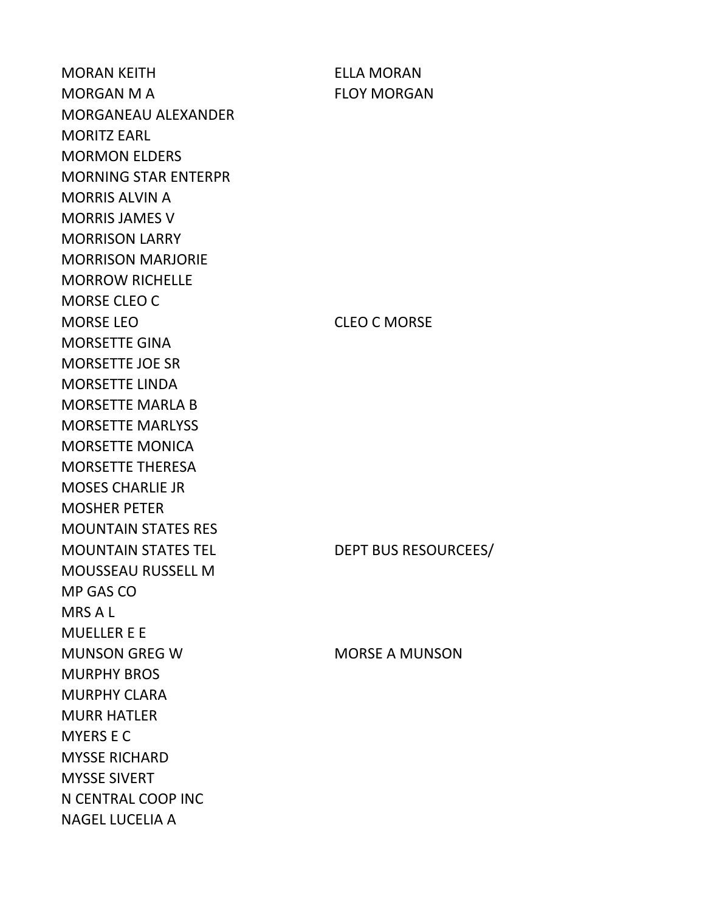MORAN KEITH ELLA MORAN MORGAN M A FLOY MORGAN MORGANEAU ALEXANDER MORITZ EARL MORMON ELDERS MORNING STAR ENTERPR MORRIS ALVIN A MORRIS JAMES V MORRISON LARRY MORRISON MARJORIE MORROW RICHELLE MORSE CLEO C MORSE LEO CONTROLLED CLEO COMORSE MORSETTE GINA MORSETTE JOE SR MORSETTE LINDA MORSETTE MARLA B MORSETTE MARLYSS MORSETTE MONICA MORSETTE THERESA MOSES CHARLIE JR MOSHER PETER MOUNTAIN STATES RES MOUNTAIN STATES TEL DEPT BUS RESOURCEES/ MOUSSEAU RUSSELL M MP GAS CO MRS A L MUELLER E E MUNSON GREG W MORSE A MUNSON MURPHY BROS MURPHY CLARA MURR HATLER MYERS E C MYSSE RICHARD MYSSE SIVERT N CENTRAL COOP INC NAGEL LUCELIA A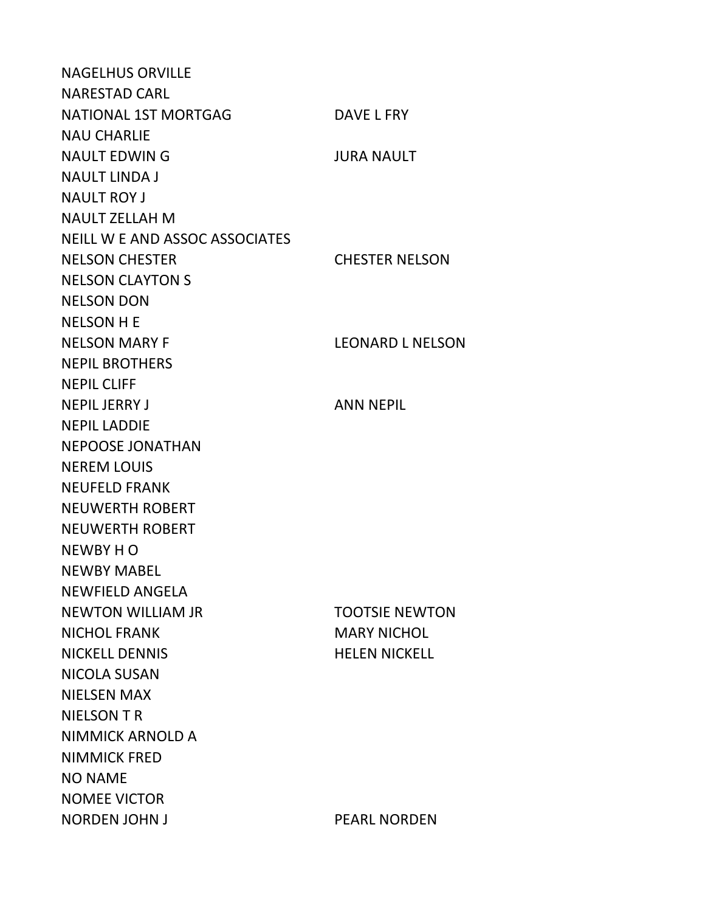NAGELHUS ORVILLE NARESTAD CARL NATIONAL 1ST MORTGAG DAVE L FRY NAU CHARLIE NAULT EDWIN G JURA NAULT NAULT LINDA J NAULT ROY J NAULT ZELLAH M NEILL W E AND ASSOC ASSOCIATES NELSON CHESTER CHESTER NELSON NELSON CLAYTON S NELSON DON NELSON H E NELSON MARY F LEONARD L NELSON NEPIL BROTHERS NEPIL CLIFF NEPIL JERRY JAN ANN NEPIL NEPIL LADDIE NEPOOSE JONATHAN NEREM LOUIS NEUFELD FRANK NEUWERTH ROBERT NEUWERTH ROBERT NEWBY H O NEWBY MABEL NEWFIELD ANGELA NEWTON WILLIAM JR TOOTSIE NEWTON NICHOL FRANK MARY NICHOL NICKELL DENNIS HELEN NICKELL NICOLA SUSAN NIELSEN MAX NIELSON T R NIMMICK ARNOLD A NIMMICK FRED NO NAME NOMEE VICTOR NORDEN JOHN JUNE 1999 TO PEARL NORDEN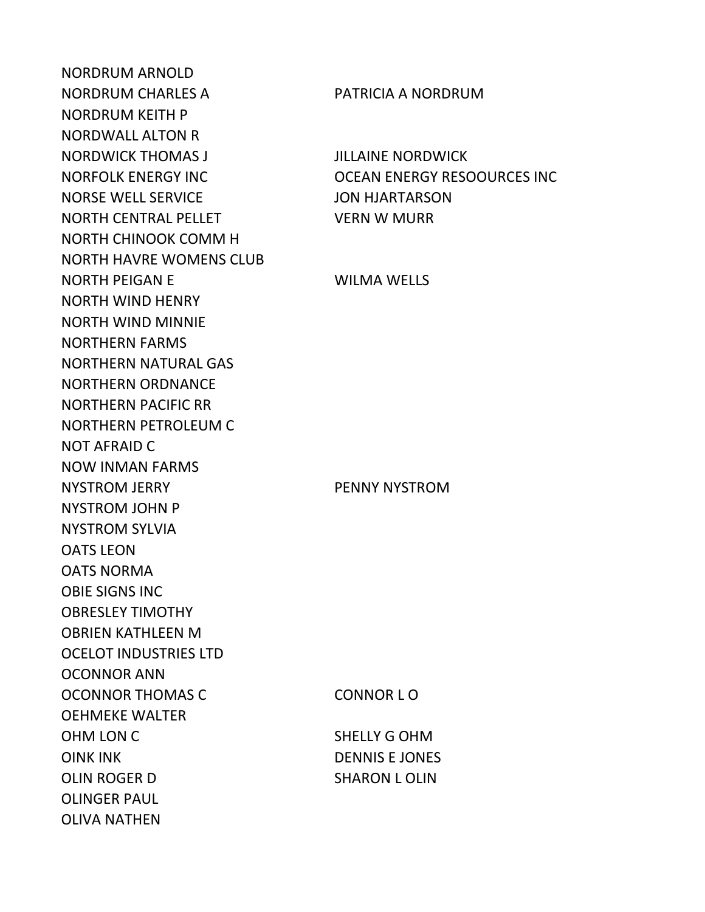NORDRUM ARNOLD NORDRUM CHARLES A PATRICIA A NORDRUM NORDRUM KEITH P NORDWALL ALTON R NORDWICK THOMAS J JILLAINE NORDWICK NORSE WELL SERVICE JON HJARTARSON NORTH CENTRAL PELLET VERN W MURR NORTH CHINOOK COMM H NORTH HAVRE WOMENS CLUB NORTH PEIGAN E WILMA WELLS NORTH WIND HENRY NORTH WIND MINNIE NORTHERN FARMS NORTHERN NATURAL GAS NORTHERN ORDNANCE NORTHERN PACIFIC RR NORTHERN PETROLEUM C NOT AFRAID C NOW INMAN FARMS NYSTROM JERRY PENNY NYSTROM NYSTROM JOHN P NYSTROM SYLVIA OATS LEON OATS NORMA OBIE SIGNS INC OBRESLEY TIMOTHY OBRIEN KATHLEEN M OCELOT INDUSTRIES LTD OCONNOR ANN OCONNOR THOMAS C CONNOR LO OEHMEKE WALTER OHM LON C SHELLY G OHM OINK INK DENNIS E JONES OLIN ROGER D SHARON LOLIN OLINGER PAUL OLIVA NATHEN

NORFOLK ENERGY INC OCEAN ENERGY RESOOURCES INC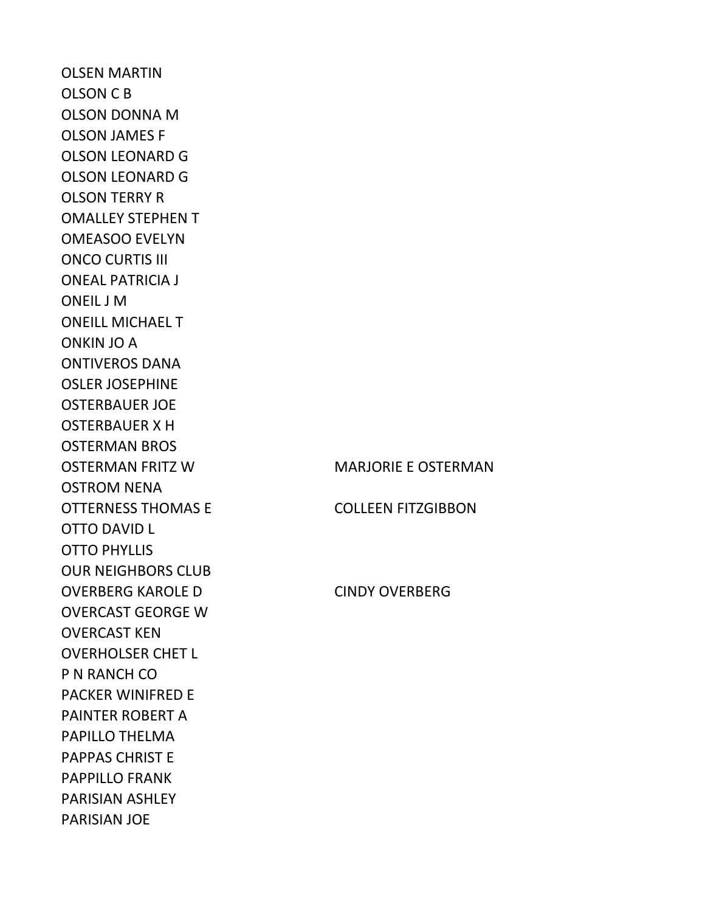OLSEN MARTIN OLSON C B OLSON DONNA M OLSON JAMES F OLSON LEONARD G OLSON LEONARD G OLSON TERRY R OMALLEY STEPHEN T OMEASOO EVELYN ONCO CURTIS III ONEAL PATRICIA J ONEIL J M ONEILL MICHAEL T ONKIN JO A ONTIVEROS DANA OSLER JOSEPHINE OSTERBAUER JOE OSTERBAUER X H OSTERMAN BROS OSTERMAN FRITZ W **MARJORIE E OSTERMAN** OSTROM NENA OTTERNESS THOMAS E COLLEEN FITZGIBBON OTTO DAVID L OTTO PHYLLIS OUR NEIGHBORS CLUB OVERBERG KAROLE D CINDY OVERBERG OVERCAST GEORGE W OVERCAST KEN OVERHOLSER CHET L P N RANCH CO PACKER WINIFRED E PAINTER ROBERT A PAPILLO THELMA PAPPAS CHRIST E PAPPILLO FRANK PARISIAN ASHLEY PARISIAN JOE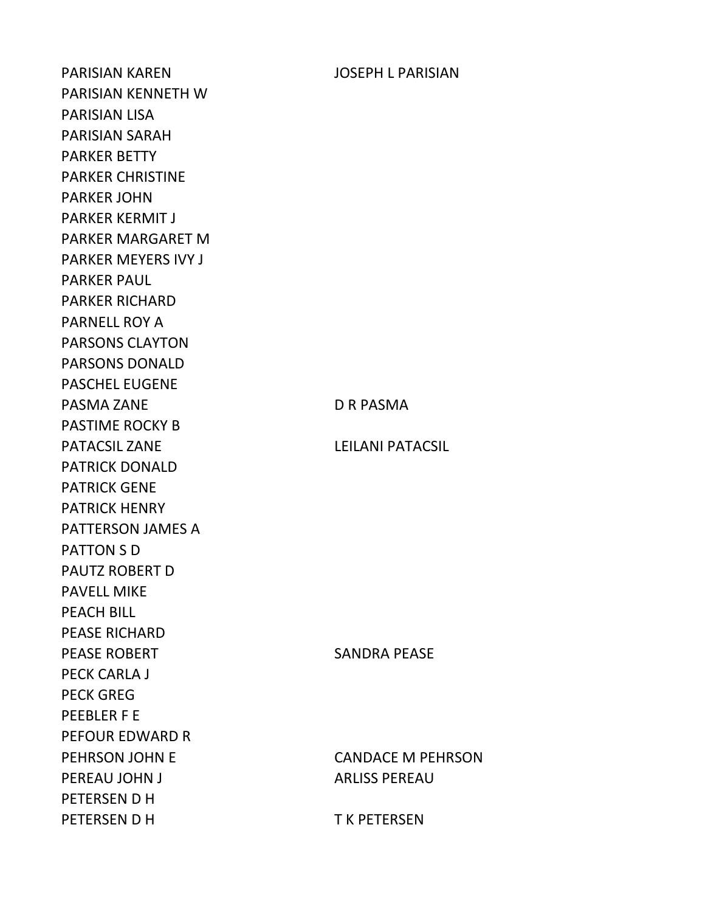PARISIAN KAREN JOSEPH L PARISIAN PARISIAN KENNETH W PARISIAN LISA PARISIAN SARAH PARKER BETTY PARKER CHRISTINE PARKER JOHN PARKER KERMIT J PARKER MARGARET M PARKER MEYERS IVY J PARKER PAUL PARKER RICHARD PARNELL ROY A PARSONS CLAYTON PARSONS DONALD PASCHEL EUGENE PASMA ZANE DR PASMA PASTIME ROCKY B PATACSIL ZANE LEILANI PATACSIL PATRICK DONALD PATRICK GENE PATRICK HENRY PATTERSON JAMES A PATTON S D PAUTZ ROBERT D PAVELL MIKE PEACH BILL PEASE RICHARD PEASE ROBERT SANDRA PEASE PECK CARLA J PECK GREG PEEBLER F E PEFOUR EDWARD R PEHRSON JOHN E CANDACE M PEHRSON PEREAU JOHN JUNE 1999 ARLISS PEREAU PETERSEN D H PETERSEN D H T K PETERSEN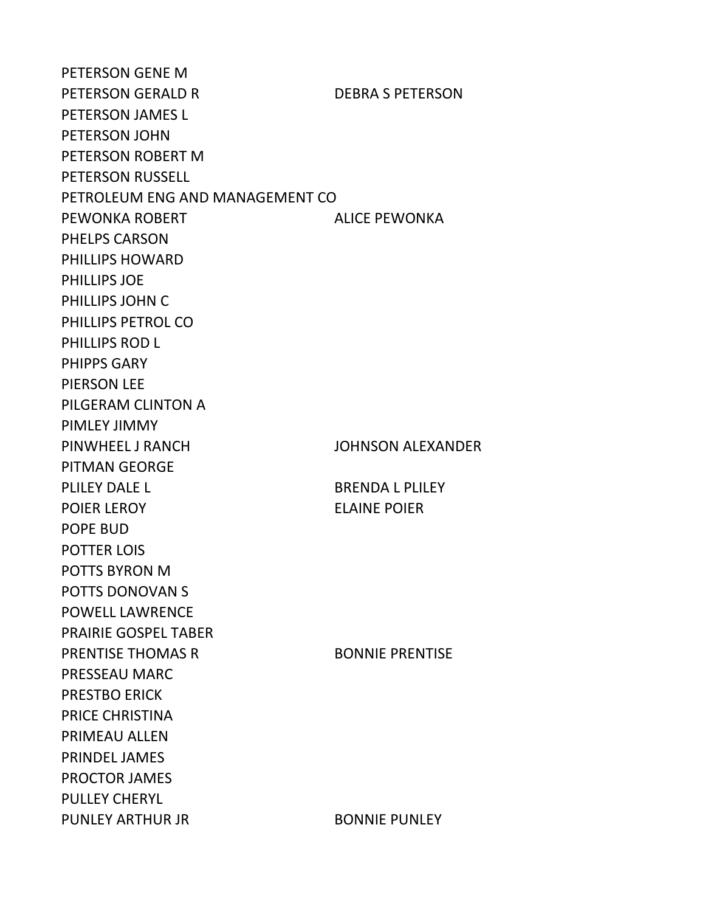PETERSON GENE M PETERSON GERALD R DEBRA S PETERSON PETERSON JAMES L PETERSON JOHN PETERSON ROBERT M PETERSON RUSSELL PETROLEUM ENG AND MANAGEMENT CO PEWONKA ROBERT ALICE PEWONKA PHELPS CARSON PHILLIPS HOWARD PHILLIPS JOE PHILLIPS JOHN C PHILLIPS PETROL CO PHILLIPS ROD L PHIPPS GARY PIERSON LEE PILGERAM CLINTON A PIMLEY JIMMY PINWHEEL J RANCH JOHNSON ALEXANDER PITMAN GEORGE PLILEY DALE L BRENDA L PLILEY POIER LEROY ELAINE POIER POPE BUD POTTER LOIS POTTS BYRON M POTTS DONOVAN S POWELL LAWRENCE PRAIRIE GOSPEL TABER PRENTISE THOMAS R BONNIE PRENTISE PRESSEAU MARC PRESTBO ERICK PRICE CHRISTINA PRIMEAU ALLEN PRINDEL JAMES PROCTOR JAMES PULLEY CHERYL PUNLEY ARTHUR JR BONNIE PUNLEY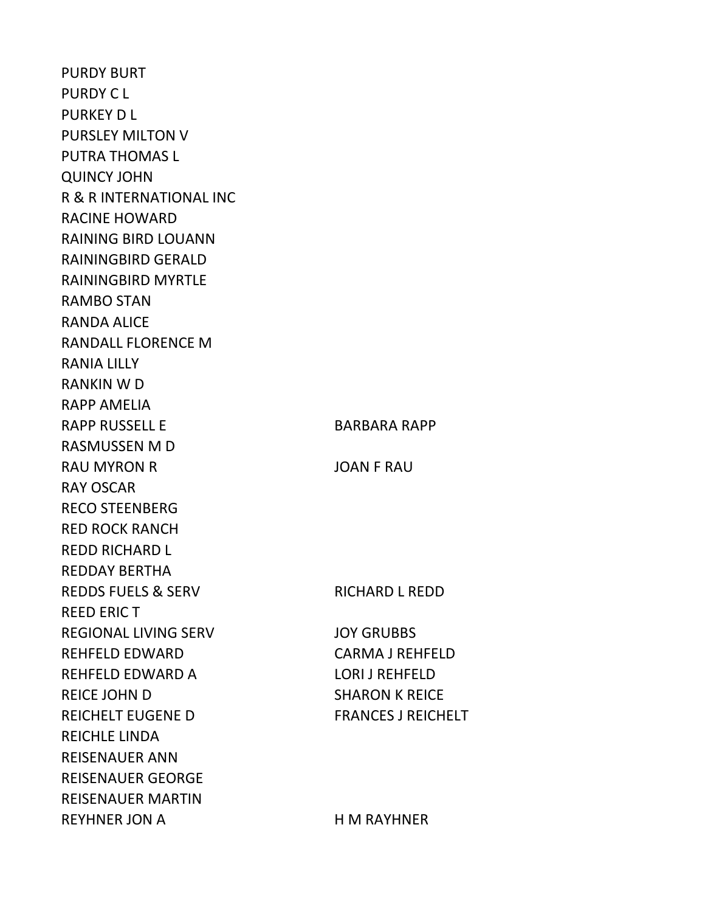PURDY BURT PURDY C L PURKEY D L PURSLEY MILTON V PUTRA THOMAS L QUINCY JOHN R & R INTERNATIONAL INC RACINE HOWARD RAINING BIRD LOUANN RAININGBIRD GERALD RAININGBIRD MYRTLE RAMBO STAN RANDA ALICE RANDALL FLORENCE M RANIA LILLY RANKIN W D RAPP AMELIA RAPP RUSSELL E BARBARA RAPP RASMUSSEN M D RAU MYRON R<br>JOAN F RAU RAY OSCAR RECO STEENBERG RED ROCK RANCH REDD RICHARD L REDDAY BERTHA REDDS FUELS & SERV RICHARD L REDD REED ERIC T REGIONAL LIVING SERV JOY GRUBBS REHFELD EDWARD CARMA J REHFELD REHFELD EDWARD A LORI J REHFELD REICE JOHN D SHARON K REICE REICHELT EUGENE D<br>FRANCES J REICHELT REICHLE LINDA REISENAUER ANN REISENAUER GEORGE REISENAUER MARTIN REYHNER JON A H M RAYHNER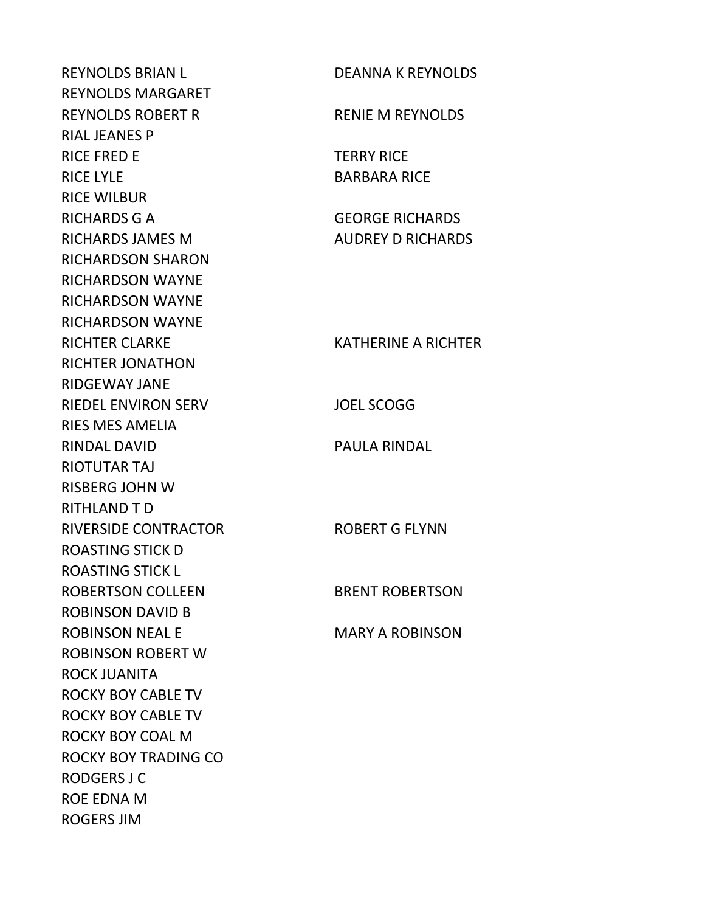REYNOLDS BRIAN L REYNOLDS MARGARET REYNOLDS ROBERT R RIAL JEANES P RICE FRED E RICE LYLE RICE WILBUR **RICHARDS G A** RICHARDS JAMES M RICHARDSON SHARON RICHARDSON WAYNE RICHARDSON WAYNE RICHARDSON WAYNE RICHTER CLARKE RICHTER JONATHON RIDGEWAY JANE RIEDEL ENVIRON SERV RIES MES AMELIA RINDAL DAVID RIOTUTAR TAJ RISBERG JOHN W RITHLAND T D RIVERSIDE CONTRACTOR ROASTING STICK D ROASTING STICK L ROBERTSON COLLEEN ROBINSON DAVID B ROBINSON NEAL E ROBINSON ROBERT W ROCK JUANITA ROCKY BOY CABLE TV ROCKY BOY CABLE TV ROCKY BOY COAL M ROCKY BOY TRADING CO RODGERS J C ROE EDNA M ROGERS JIM

| <b>DEANNA K REYNOLDS</b>                           |
|----------------------------------------------------|
| <b>RENIE M REYNOLDS</b>                            |
| <b>TERRY RICE</b><br><b>BARBARA RICE</b>           |
| <b>GEORGE RICHARDS</b><br><b>AUDREY D RICHARDS</b> |
| <b>KATHERINE A RICHTER</b>                         |
| <b>JOEL SCOGG</b>                                  |
| <b>PAULA RINDAL</b>                                |
| <b>ROBERT G FLYNN</b>                              |
| <b>BRENT ROBERTSON</b>                             |
| <b>MARY A ROBINSON</b>                             |
|                                                    |
|                                                    |
|                                                    |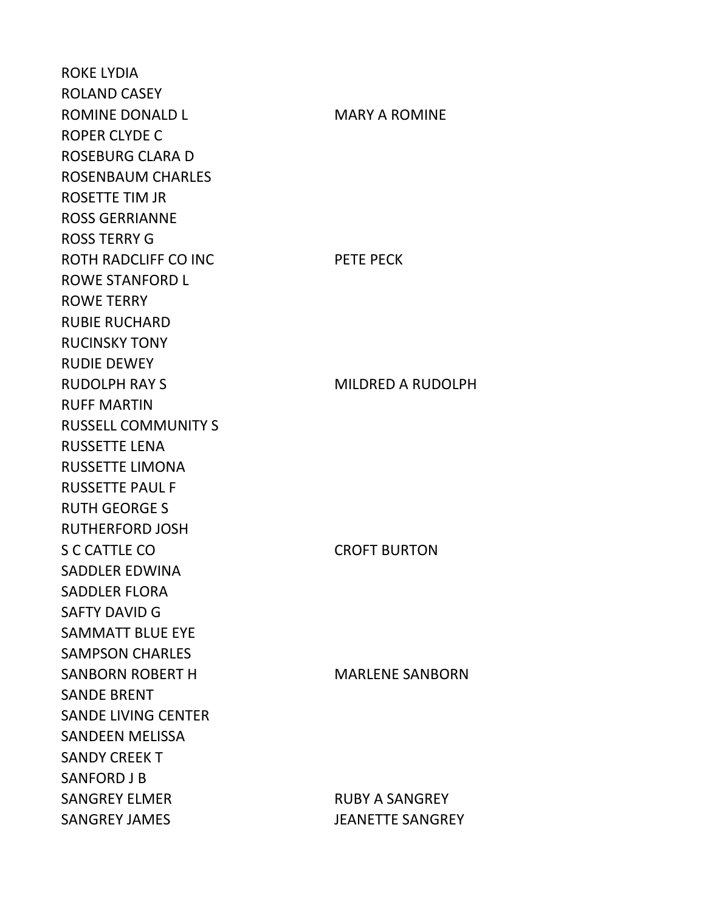ROKE LYDIA ROLAND CASEY ROMINE DONALD LAST MARY A ROMINE ROPER CLYDE C ROSEBURG CLARA D ROSENBAUM CHARLES ROSETTE TIM JR ROSS GERRIANNE ROSS TERRY G ROTH RADCLIFF CO INC PETE PECK ROWE STANFORD L ROWE TERRY RUBIE RUCHARD RUCINSKY TONY RUDIE DEWEY RUDOLPH RAY S<br>
MILDRED A RUDOLPH RUFF MARTIN RUSSELL COMMUNITY S RUSSETTE LENA RUSSETTE LIMONA RUSSETTE PAUL F RUTH GEORGE S RUTHERFORD JOSH S C CATTLE CO CROFT BURTON SADDLER EDWINA SADDLER FLORA SAFTY DAVID G SAMMATT BLUE EYE SAMPSON CHARLES SANBORN ROBERT H MARLENE SANBORN SANDE BRENT SANDE LIVING CENTER SANDEEN MELISSA SANDY CREEK T SANFORD J B SANGREY ELMER RUBY A SANGREY SANGREY JAMES JEANETTE SANGREY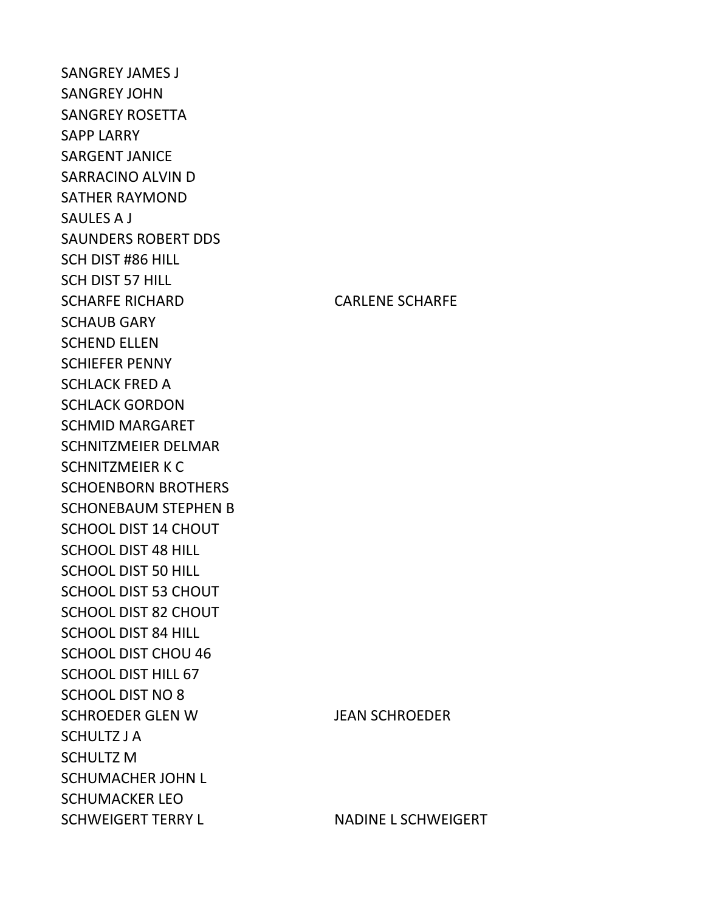SANGREY JAMES J SANGREY JOHN SANGREY ROSETTA SAPP LARRY SARGENT JANICE SARRACINO ALVIN D SATHER RAYMOND SAULES A J SAUNDERS ROBERT DDS SCH DIST #86 HILL SCH DIST 57 HILL SCHARFE RICHARD CARLENE SCHARFE SCHAUB GARY SCHEND ELLEN SCHIEFER PENNY SCHLACK FRED A SCHLACK GORDON SCHMID MARGARET SCHNITZMEIER DELMAR SCHNITZMEIER K C SCHOENBORN BROTHERS SCHONEBAUM STEPHEN B SCHOOL DIST 14 CHOUT SCHOOL DIST 48 HILL SCHOOL DIST 50 HILL SCHOOL DIST 53 CHOUT SCHOOL DIST 82 CHOUT SCHOOL DIST 84 HILL SCHOOL DIST CHOU 46 SCHOOL DIST HILL 67 SCHOOL DIST NO 8 SCHROEDER GLEN W JEAN SCHROEDER SCHULTZ J A SCHULTZ M SCHUMACHER JOHN L SCHUMACKER LEO SCHWEIGERT TERRY L<br>
NADINE L SCHWEIGERT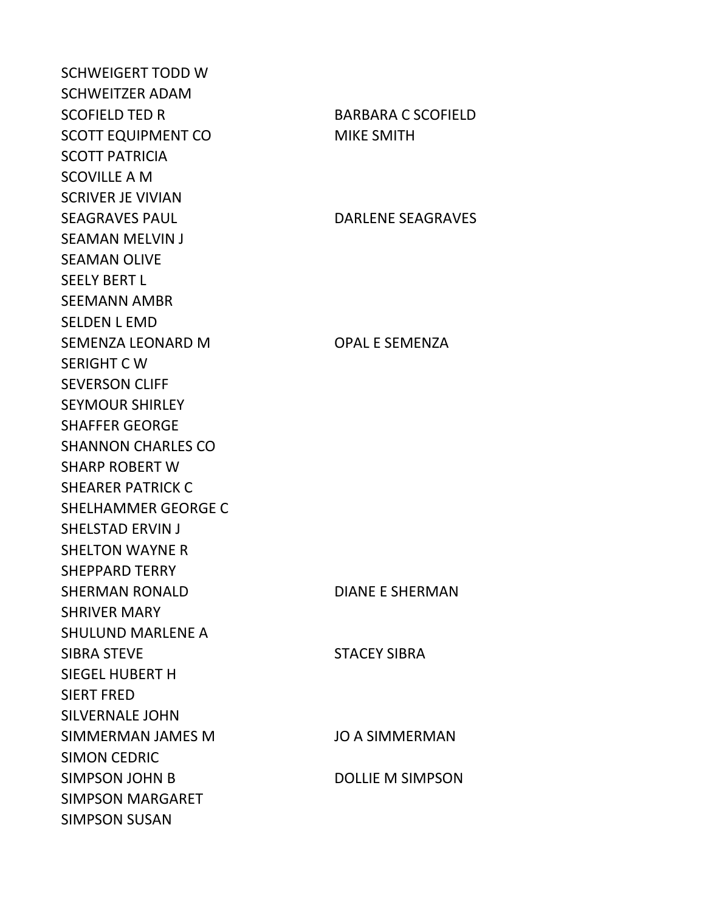SCHWEIGERT TODD W SCHWEITZER ADAM SCOFIELD TED R BARBARA C SCOFIELD SCOTT EQUIPMENT CO MIKE SMITH SCOTT PATRICIA SCOVILLE A M SCRIVER JE VIVIAN SEAGRAVES PAUL DARLENE SEAGRAVES SEAMAN MELVIN J SEAMAN OLIVE SEELY BERT L SEEMANN AMBR SELDEN L EMD SEMENZA LEONARD M OPAL E SEMENZA SERIGHT C W SEVERSON CLIFF SEYMOUR SHIRLEY SHAFFER GEORGE SHANNON CHARLES CO SHARP ROBERT W SHEARER PATRICK C SHELHAMMER GEORGE C SHELSTAD ERVIN J SHELTON WAYNE R SHEPPARD TERRY SHERMAN RONALD DIANE E SHERMAN SHRIVER MARY SHULUND MARLENE A SIBRA STEVE SIBRA STACEY SIBRA SIEGEL HUBERT H SIERT FRED SILVERNALE JOHN SIMMERMAN JAMES M JO A SIMMERMAN SIMON CEDRIC SIMPSON JOHN B DOLLIE M SIMPSON SIMPSON MARGARET SIMPSON SUSAN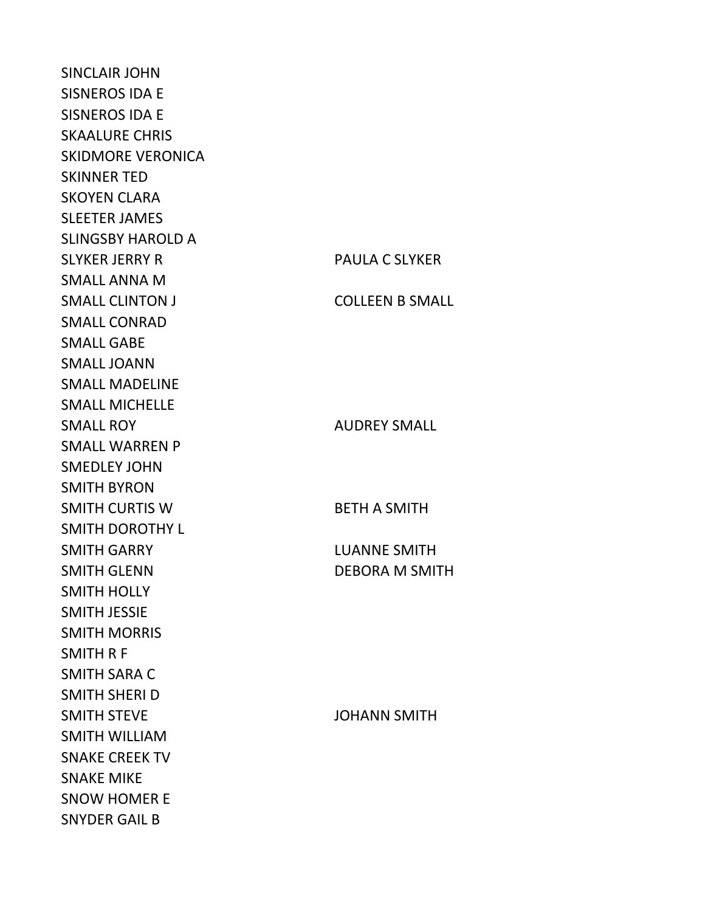SINCLAIR JOHN SISNEROS IDA E SISNEROS IDA E SKAALURE CHRIS SKIDMORE VERONICA SKINNER TED SKOYEN CLARA SLEETER JAMES SLINGSBY HAROLD A SLYKER JERRY R PAULA C SLYKER SMALL ANNA M **SMALL CLINTON J** SMALL CONRAD SMALL GABE SMALL JOANN SMALL MADELINE SMALL MICHELLE SMALL ROY SMALL WARREN P SMEDLEY JOHN SMITH BYRON **SMITH CURTIS W** SMITH DOROTHY L SMITH GARRY SMITH GLENN DEBORA M SMITH SMITH HOLLY SMITH JESSIE SMITH MORRIS SMITH R F SMITH SARA C SMITH SHERI D SMITH STEVE JOHANN SMITH SMITH WILLIAM SNAKE CREEK TV SNAKE MIKE SNOW HOMER E SNYDER GAIL B

| <b>FAULA C JLINLIN</b> |
|------------------------|
| <b>COLLEEN B SMALL</b> |
|                        |
|                        |
| <b>AUDREY SMALL</b>    |
|                        |
| <b>BETH A SMITH</b>    |
|                        |
| <b>LUANNE SMITH</b>    |
| <b>DEBORA M SMITH</b>  |
|                        |
|                        |
|                        |
|                        |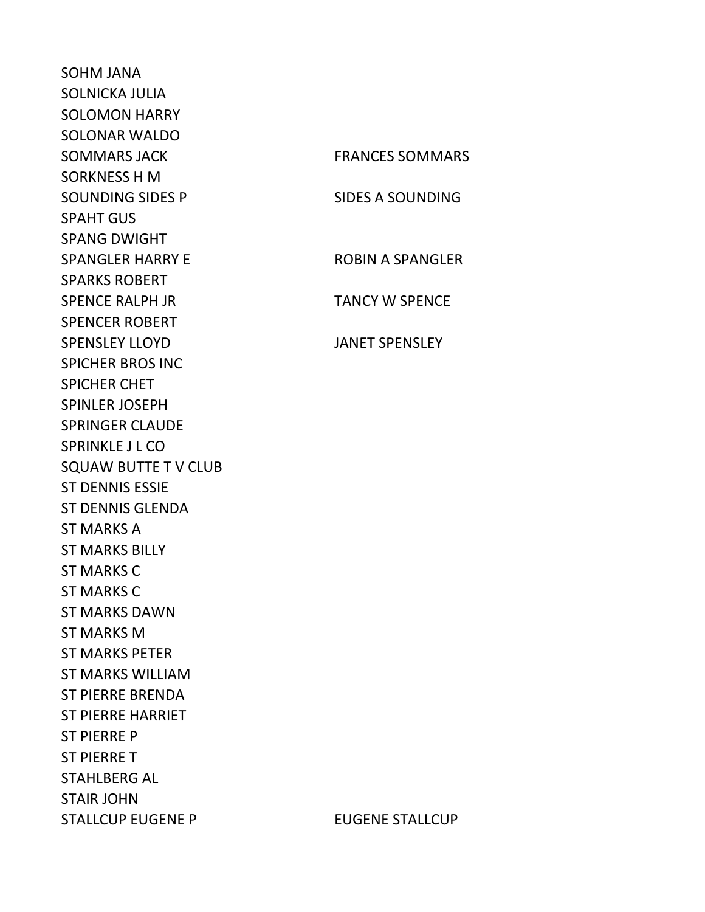SOHM JANA SOLNICKA JULIA SOLOMON HARRY SOLONAR WALDO SORKNESS H M SPAHT GUS SPANG DWIGHT SPARKS ROBERT SPENCER ROBERT SPENSLEY LLOYD JANET SPENSLEY SPICHER BROS INC SPICHER CHET SPINLER JOSEPH SPRINGER CLAUDE SPRINKLE J L CO SQUAW BUTTE T V CLUB ST DENNIS ESSIE ST DENNIS GLENDA ST MARKS A ST MARKS BILLY ST MARKS C ST MARKS C ST MARKS DAWN ST MARKS M ST MARKS PETER ST MARKS WILLIAM ST PIERRE BRENDA ST PIERRE HARRIET ST PIERRE P ST PIERRE T STAHLBERG AL STAIR JOHN

SOMMARS JACK FRANCES SOMMARS SOUNDING SIDES P SIDES A SOUNDING SPANGLER HARRY E ROBIN A SPANGLER SPENCE RALPH JR TANCY W SPENCE

STALLCUP EUGENE P EUGENE STALLCUP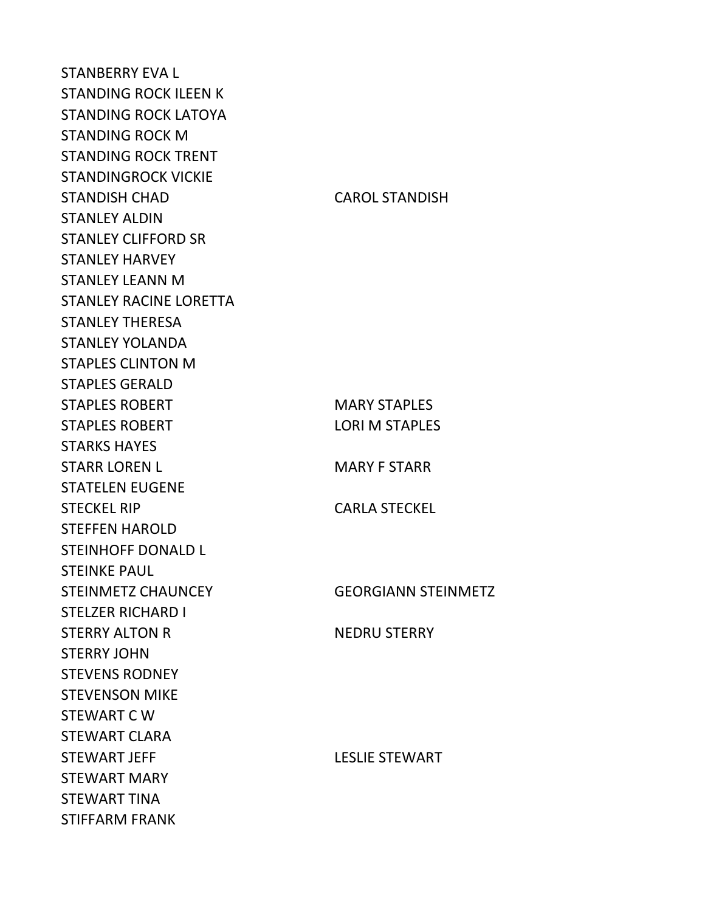STANBERRY EVA L STANDING ROCK ILEEN K STANDING ROCK LATOYA STANDING ROCK M STANDING ROCK TRENT STANDINGROCK VICKIE STANDISH CHAD CAROL STANDISH STANLEY ALDIN STANLEY CLIFFORD SR STANLEY HARVEY STANLEY LEANN M STANLEY RACINE LORETTA STANLEY THERESA STANLEY YOLANDA STAPLES CLINTON M STAPLES GERALD STAPLES ROBERT MARY STAPLES STAPLES ROBERT LORI M STAPLES STARKS HAYES STARR LOREN L<br>MARY F STARR STATELEN EUGENE STECKEL RIP CARLA STECKEL STEFFEN HAROLD STEINHOFF DONALD L STEINKE PAUL STEINMETZ CHAUNCEY GEORGIANN STEINMETZ STELZER RICHARD I STERRY ALTON R NEDRU STERRY STERRY JOHN STEVENS RODNEY STEVENSON MIKE STEWART C W STEWART CLARA STEWART JEFF LESLIE STEWART STEWART MARY STEWART TINA STIFFARM FRANK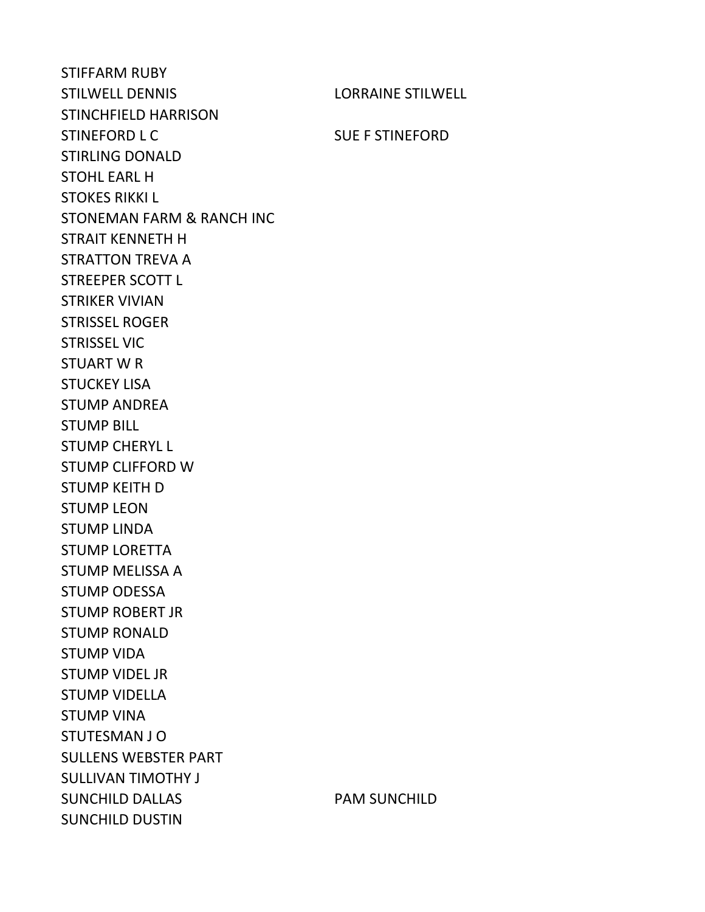STIFFARM RUBY STILWELL DENNIS LORRAINE STILWELL STINCHFIELD HARRISON STINEFORD L C SUE F STINEFORD STIRLING DONALD STOHL EARL H STOKES RIKKI L STONEMAN FARM & RANCH INC STRAIT KENNETH H STRATTON TREVA A STREEPER SCOTT L STRIKER VIVIAN STRISSEL ROGER STRISSEL VIC STUART W R STUCKEY LISA STUMP ANDREA STUMP BILL STUMP CHERYL L STUMP CLIFFORD W STUMP KEITH D STUMP LEON STUMP LINDA STUMP LORETTA STUMP MELISSA A STUMP ODESSA STUMP ROBERT JR STUMP RONALD STUMP VIDA STUMP VIDEL JR STUMP VIDELLA STUMP VINA STUTESMAN J O SULLENS WEBSTER PART SULLIVAN TIMOTHY J SUNCHILD DALLAS PAM SUNCHILD SUNCHILD DUSTIN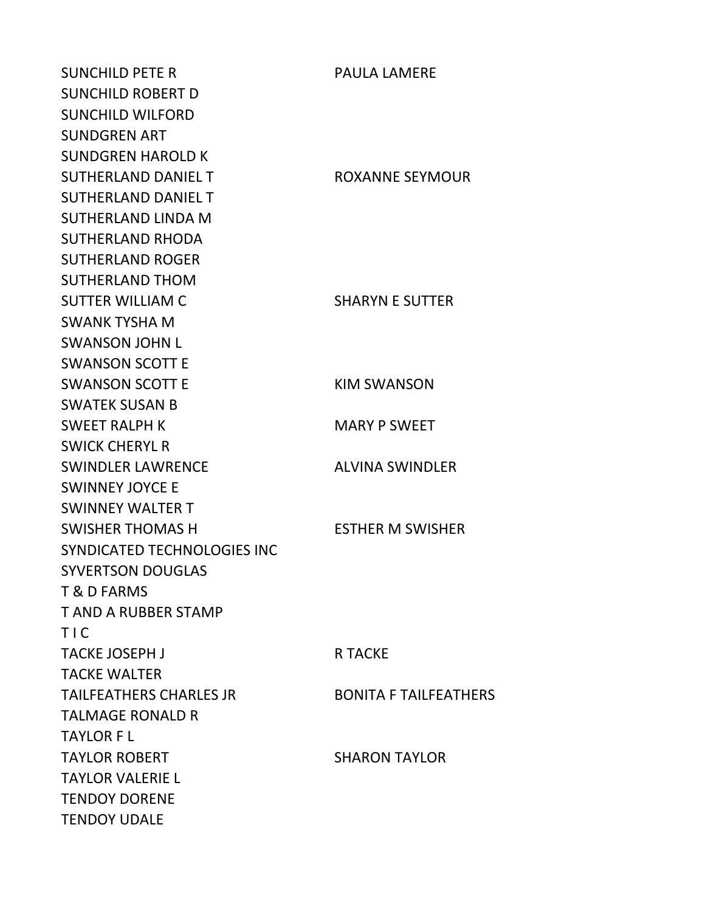SUNCHILD PETE R PAULA LAMERE SUNCHILD ROBERT D SUNCHILD WILFORD SUNDGREN ART SUNDGREN HAROLD K SUTHERLAND DANIEL TWITCH THE ROXANNE SEYMOUR SUTHERLAND DANIEL T SUTHERLAND LINDA M SUTHERLAND RHODA SUTHERLAND ROGER SUTHERLAND THOM SUTTER WILLIAM C SHARYN E SUTTER SWANK TYSHA M SWANSON JOHN L SWANSON SCOTT E SWANSON SCOTT E KIM SWANSON SWATEK SUSAN B SWEET RALPH K MARY P SWEET SWICK CHERYL R SWINDLER LAWRENCE ALVINA SWINDLER SWINNEY JOYCE E SWINNEY WALTER T SWISHER THOMAS H ESTHER M SWISHER SYNDICATED TECHNOLOGIES INC SYVERTSON DOUGLAS T & D FARMS T AND A RUBBER STAMP T I C TACKE JOSEPH J R TACKE TACKE WALTER TAILFEATHERS CHARLES JR BONITA F TAILFEATHERS TALMAGE RONALD R TAYLOR F L TAYLOR ROBERT SHARON TAYLOR TAYLOR VALERIE L TENDOY DORENE TENDOY UDALE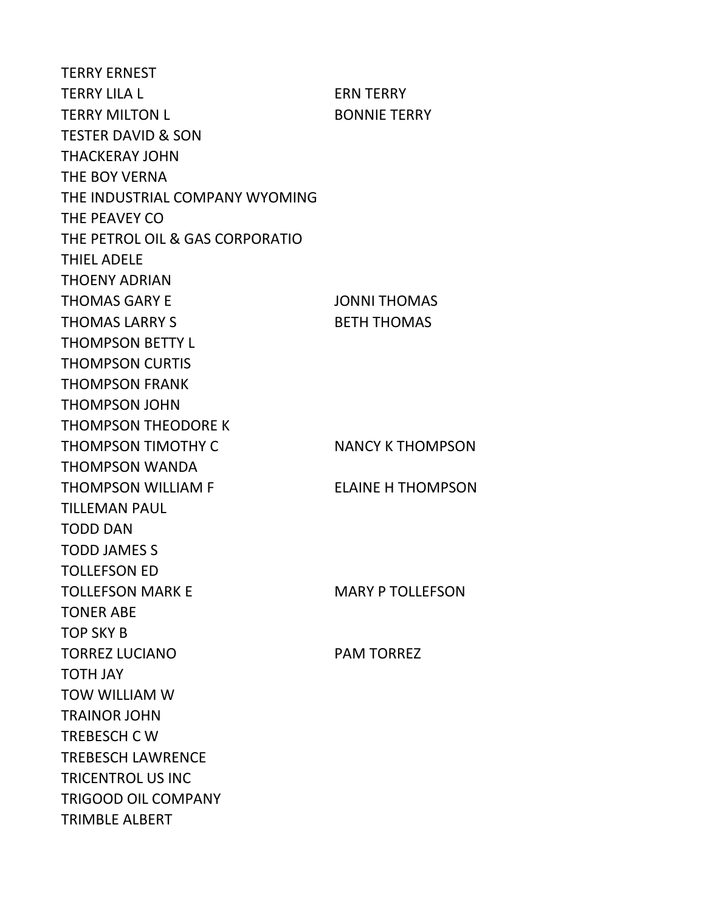TERRY ERNEST TERRY LILA L ERN TERRY TERRY MILTON L<br>BONNIE TERRY TESTER DAVID & SON THACKERAY JOHN THE BOY VERNA THE INDUSTRIAL COMPANY WYOMING THE PEAVEY CO THE PETROL OIL & GAS CORPORATIO THIEL ADELE THOENY ADRIAN THOMAS GARY E JONNI THOMAS THOMAS LARRY S<br>BETH THOMAS THOMPSON BETTY L THOMPSON CURTIS THOMPSON FRANK THOMPSON JOHN THOMPSON THEODORE K THOMPSON TIMOTHY C<br>
NANCY K THOMPSON THOMPSON WANDA THOMPSON WILLIAM F ELAINE H THOMPSON TILLEMAN PAUL TODD DAN TODD JAMES S TOLLEFSON ED TOLLEFSON MARK E MARY P TOLLEFSON TONER ABE TOP SKY B TORREZ LUCIANO PAM TORREZ TOTH JAY TOW WILLIAM W TRAINOR JOHN TREBESCH C W TREBESCH LAWRENCE TRICENTROL US INC TRIGOOD OIL COMPANY TRIMBLE ALBERT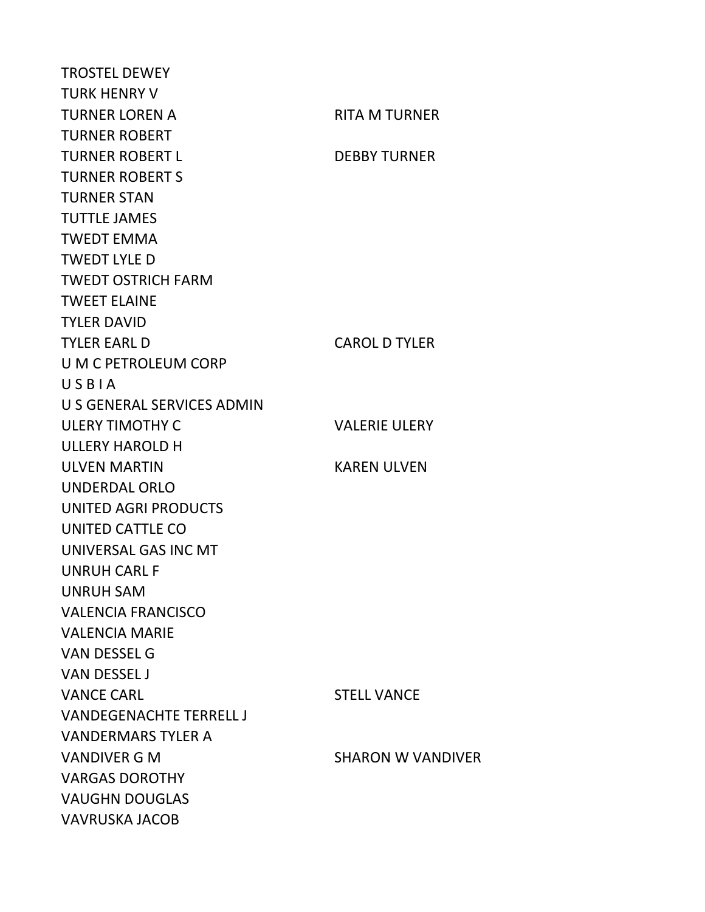TROSTEL DEWEY TURK HENRY V TURNER LOREN A RITA M TURNER TURNER ROBERT TURNER ROBERT LETTER OF DEBBY TURNER TURNER ROBERT S TURNER STAN TUTTLE JAMES TWEDT EMMA TWEDT LYLE D TWEDT OSTRICH FARM TWEET ELAINE TYLER DAVID TYLER EARL D CAROL D TYLER U M C PETROLEUM CORP U S B I A U S GENERAL SERVICES ADMIN ULERY TIMOTHY C VALERIE ULERY ULLERY HAROLD H ULVEN MARTIN KAREN ULVEN UNDERDAL ORLO UNITED AGRI PRODUCTS UNITED CATTLE CO UNIVERSAL GAS INC MT UNRUH CARL F UNRUH SAM VALENCIA FRANCISCO VALENCIA MARIE VAN DESSEL G VAN DESSEL J VANCE CARL STELL VANCE VANDEGENACHTE TERRELL J VANDERMARS TYLER A VANDIVER G M SHARON W VANDIVER VARGAS DOROTHY VAUGHN DOUGLAS VAVRUSKA JACOB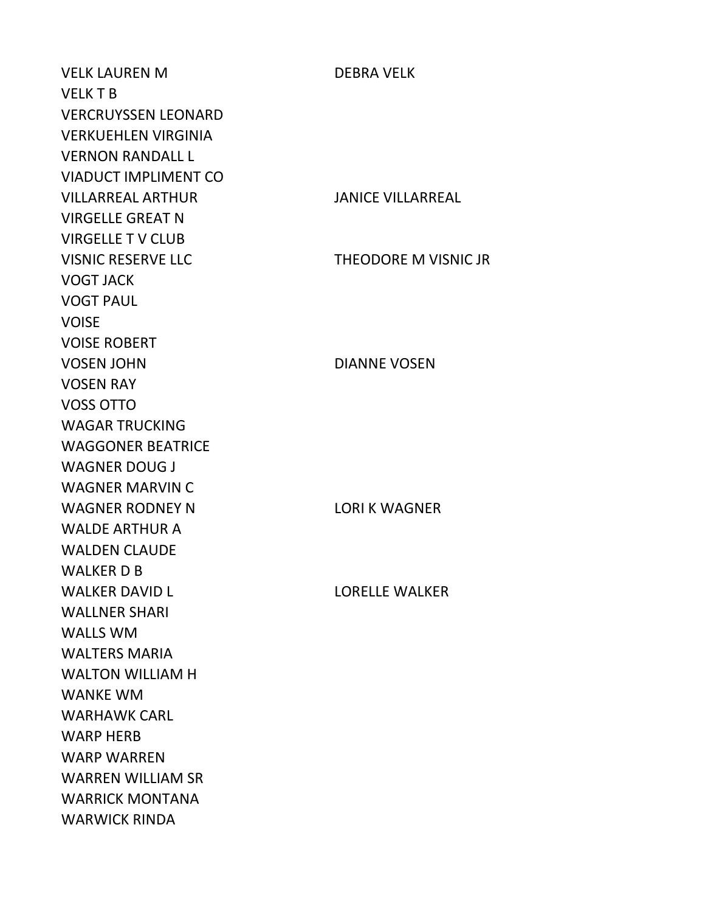VELK LAUREN M DEBRA VELK VELK T B VERCRUYSSEN LEONARD VERKUEHLEN VIRGINIA VERNON RANDALL L VIADUCT IMPLIMENT CO VILLARREAL ARTHUR JANICE VILLARREAL VIRGELLE GREAT N VIRGELLE T V CLUB VISNIC RESERVE LLC THEODORE M VISNIC JR VOGT JACK VOGT PAUL VOISE VOISE ROBERT VOSEN JOHN DIANNE VOSEN VOSEN RAY VOSS OTTO WAGAR TRUCKING WAGGONER BEATRICE WAGNER DOUG J WAGNER MARVIN C WAGNER RODNEY N LORI K WAGNER WALDE ARTHUR A WALDEN CLAUDE WALKER D B WALKER DAVID LACK CONNECT THE LORELLE WALKER WALLNER SHARI WALLS WM WALTERS MARIA WALTON WILLIAM H WANKE WM WARHAWK CARL WARP HERB WARP WARREN WARREN WILLIAM SR WARRICK MONTANA WARWICK RINDA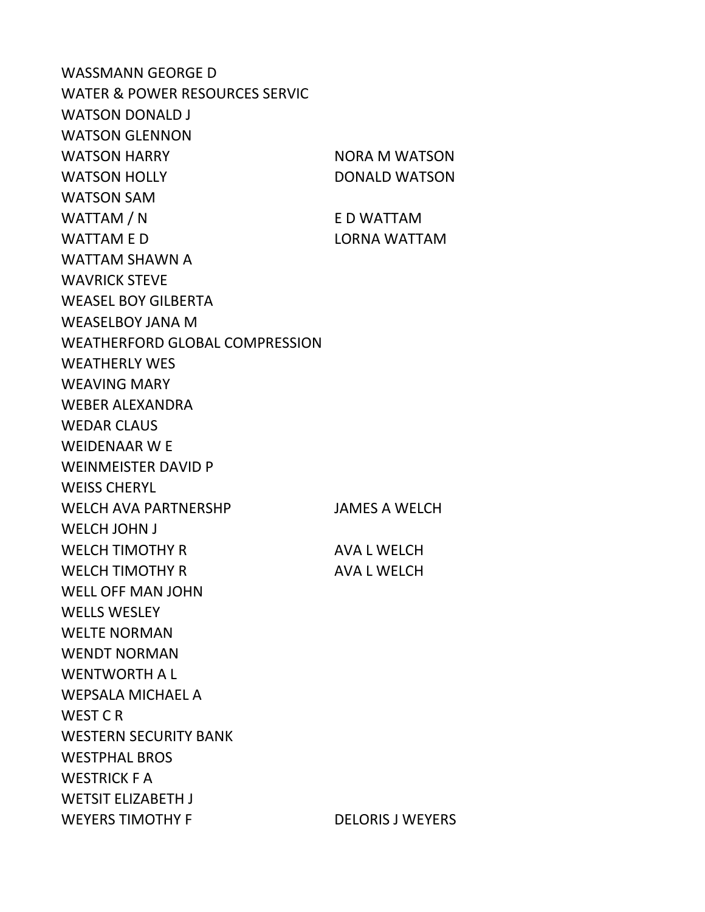WASSMANN GEORGE D WATER & POWER RESOURCES SERVIC WATSON DONALD J WATSON GLENNON WATSON HARRY NORA M WATSON WATSON HOLLY DONALD WATSON WATSON SAM WATTAM / N E D WATTAM WATTAM E D LORNA WATTAM WATTAM SHAWN A WAVRICK STEVE WEASEL BOY GILBERTA WEASELBOY JANA M WEATHERFORD GLOBAL COMPRESSION WEATHERLY WES WEAVING MARY WEBER ALEXANDRA WEDAR CLAUS WEIDENAAR W E WEINMEISTER DAVID P WEISS CHERYL WELCH AVA PARTNERSHP JAMES A WELCH WELCH JOHN J WELCH TIMOTHY R AVA L WELCH WELCH TIMOTHY R AVA L WELCH WELL OFF MAN JOHN WELLS WESLEY WELTE NORMAN WENDT NORMAN WENTWORTH A L WEPSALA MICHAEL A WEST C R WESTERN SECURITY BANK WESTPHAL BROS WESTRICK F A WETSIT ELIZABETH J WEYERS TIMOTHY F DELORIS J WEYERS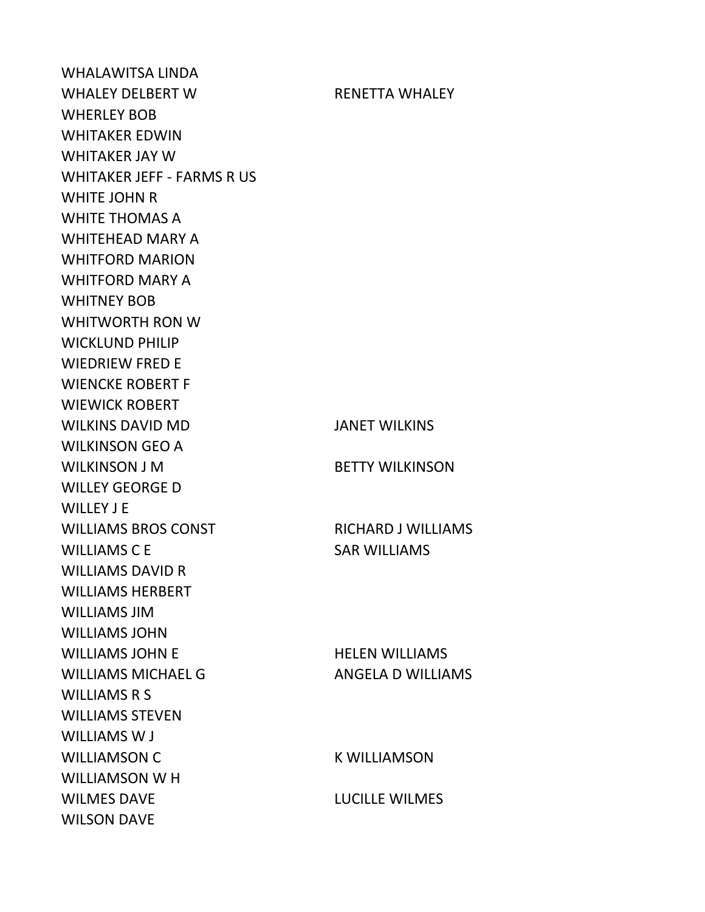WHALAWITSA LINDA WHALEY DELBERT W RENETTA WHALEY WHERLEY BOB WHITAKER EDWIN WHITAKER JAY W WHITAKER JEFF - FARMS R US WHITE JOHN R WHITE THOMAS A WHITEHEAD MARY A WHITFORD MARION WHITFORD MARY A WHITNEY BOB WHITWORTH RON W WICKLUND PHILIP WIEDRIEW FRED E WIENCKE ROBERT F WIEWICK ROBERT WILKINS DAVID MD JANET WILKINS WILKINSON GEO A WILKINSON J M BETTY WILKINSON WILLEY GEORGE D WILLEY J E WILLIAMS BROS CONST RICHARD J WILLIAMS WILLIAMS C E SAR WILLIAMS WILLIAMS DAVID R WILLIAMS HERBERT WILLIAMS JIM WILLIAMS JOHN WILLIAMS JOHN E HELEN WILLIAMS WILLIAMS MICHAEL G<br>ANGELA D WILLIAMS WILLIAMS R S WILLIAMS STEVEN WILLIAMS W J WILLIAMSON C K WILLIAMSON WILLIAMSON W H WILMES DAVE **LUCILLE WILMES** WILSON DAVE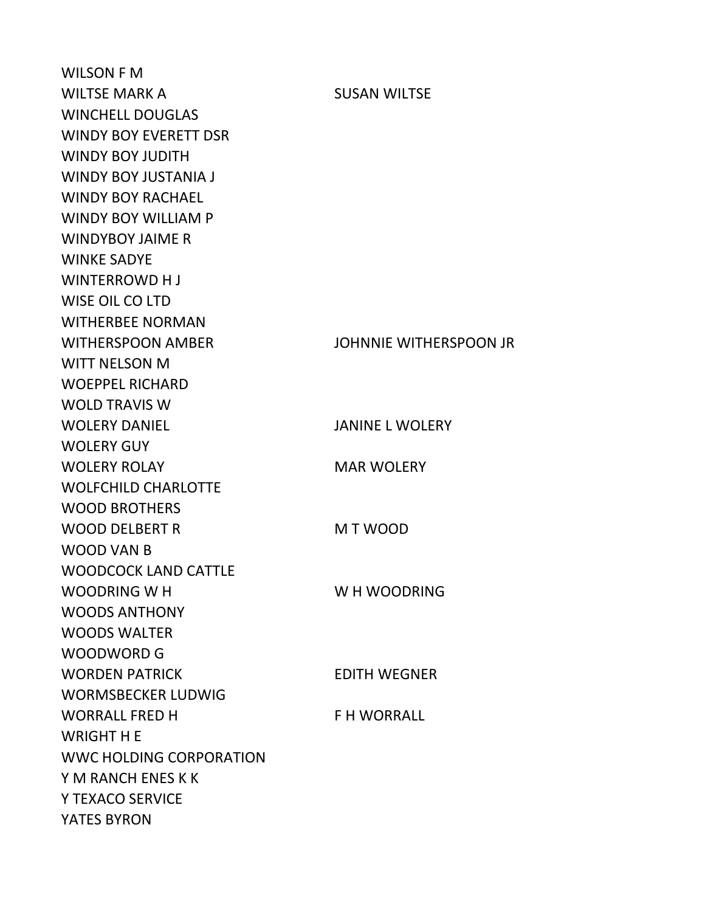WILSON F M WILTSE MARK A SUSAN WILTSE WINCHELL DOUGLAS WINDY BOY EVERETT DSR WINDY BOY JUDITH WINDY BOY JUSTANIA J WINDY BOY RACHAEL WINDY BOY WILLIAM P WINDYBOY JAIME R WINKE SADYE WINTERROWD H J WISE OIL CO LTD WITHERBEE NORMAN WITHERSPOON AMBER JOHNNIE WITHERSPOON JR WITT NELSON M WOEPPEL RICHARD WOLD TRAVIS W WOLERY DANIEL JANINE L WOLERY WOLERY GUY WOLERY ROLAY MAR WOLERY WOLFCHILD CHARLOTTE WOOD BROTHERS WOOD DELBERT R M T WOOD WOOD VAN B WOODCOCK LAND CATTLE WOODRING W H WOODRING WOODS ANTHONY WOODS WALTER WOODWORD G WORDEN PATRICK EDITH WEGNER WORMSBECKER LUDWIG WORRALL FRED H F H WORRALL WRIGHT H E WWC HOLDING CORPORATION Y M RANCH ENES K K Y TEXACO SERVICE YATES BYRON